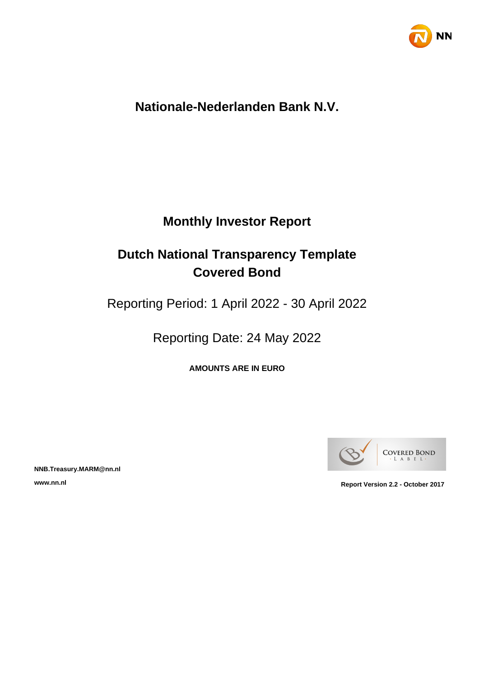

# **Nationale-Nederlanden Bank N.V.**

# **Monthly Investor Report**

# **Dutch National Transparency Template Covered Bond**

Reporting Period: 1 April 2022 - 30 April 2022

Reporting Date: 24 May 2022

**AMOUNTS ARE IN EURO**



**NNB.Treasury.MARM@nn.nl**

**www.nn.nl Report Version 2.2 - October 2017**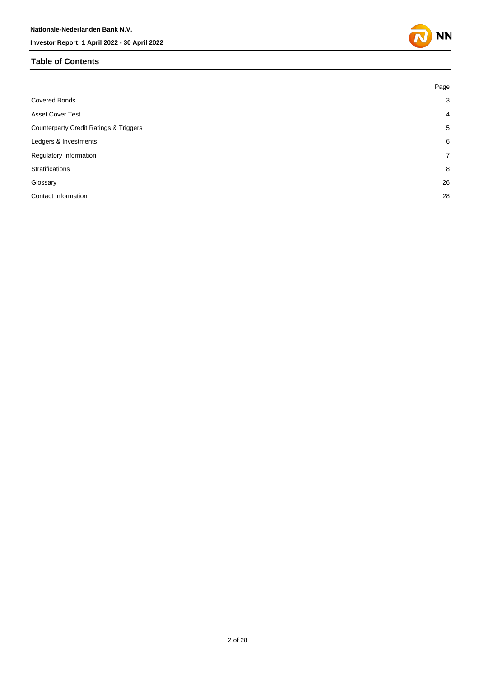#### **Table of Contents**



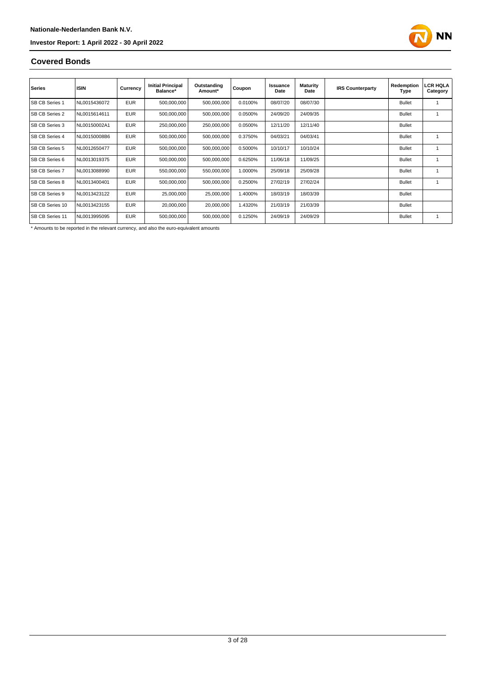

#### **Covered Bonds**

| <b>Series</b>          | <b>ISIN</b>  | Currency   | <b>Initial Principal</b><br>Balance* | Outstanding<br>Amount* | Coupon  | Issuance<br>Date | <b>Maturity</b><br>Date | <b>IRS Counterparty</b> | Redemption<br>Type | LCR HQLA<br>Category |
|------------------------|--------------|------------|--------------------------------------|------------------------|---------|------------------|-------------------------|-------------------------|--------------------|----------------------|
| <b>SB CB Series 1</b>  | NL0015436072 | <b>EUR</b> | 500,000,000                          | 500,000,000            | 0.0100% | 08/07/20         | 08/07/30                |                         | <b>Bullet</b>      |                      |
| SB CB Series 2         | NL0015614611 | <b>EUR</b> | 500,000,000                          | 500,000,000            | 0.0500% | 24/09/20         | 24/09/35                |                         | <b>Bullet</b>      |                      |
| <b>SB CB Series 3</b>  | NL00150002A1 | <b>EUR</b> | 250,000,000                          | 250,000,000            | 0.0500% | 12/11/20         | 12/11/40                |                         | <b>Bullet</b>      |                      |
| SB CB Series 4         | NL00150008B6 | <b>EUR</b> | 500,000,000                          | 500,000,000            | 0.3750% | 04/03/21         | 04/03/41                |                         | <b>Bullet</b>      |                      |
| <b>SB CB Series 5</b>  | NL0012650477 | <b>EUR</b> | 500,000,000                          | 500,000,000            | 0.5000% | 10/10/17         | 10/10/24                |                         | <b>Bullet</b>      |                      |
| SB CB Series 6         | NL0013019375 | <b>EUR</b> | 500,000,000                          | 500,000,000            | 0.6250% | 11/06/18         | 11/09/25                |                         | <b>Bullet</b>      |                      |
| <b>SB CB Series 7</b>  | NL0013088990 | <b>EUR</b> | 550,000,000                          | 550,000,000            | 1.0000% | 25/09/18         | 25/09/28                |                         | <b>Bullet</b>      |                      |
| <b>SB CB Series 8</b>  | NL0013400401 | <b>EUR</b> | 500,000,000                          | 500,000,000            | 0.2500% | 27/02/19         | 27/02/24                |                         | <b>Bullet</b>      |                      |
| SB CB Series 9         | NL0013423122 | <b>EUR</b> | 25,000,000                           | 25,000,000             | 1.4000% | 18/03/19         | 18/03/39                |                         | <b>Bullet</b>      |                      |
| <b>SB CB Series 10</b> | NL0013423155 | <b>EUR</b> | 20,000,000                           | 20,000,000             | 1.4320% | 21/03/19         | 21/03/39                |                         | <b>Bullet</b>      |                      |
| SB CB Series 11        | NL0013995095 | <b>EUR</b> | 500,000,000                          | 500,000,000            | 0.1250% | 24/09/19         | 24/09/29                |                         | <b>Bullet</b>      |                      |

\* Amounts to be reported in the relevant currency, and also the euro-equivalent amounts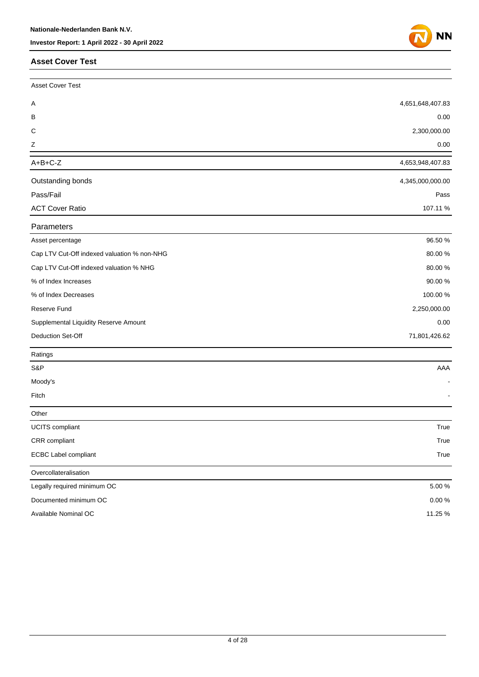#### **Asset Cover Test**



| Asset Cover Test                            |                  |
|---------------------------------------------|------------------|
| Α                                           | 4,651,648,407.83 |
| В                                           | 0.00             |
| C                                           | 2,300,000.00     |
| Ζ                                           | 0.00             |
| $A+B+C-Z$                                   | 4,653,948,407.83 |
| Outstanding bonds                           | 4,345,000,000.00 |
| Pass/Fail                                   | Pass             |
| <b>ACT Cover Ratio</b>                      | 107.11%          |
| Parameters                                  |                  |
| Asset percentage                            | 96.50 %          |
| Cap LTV Cut-Off indexed valuation % non-NHG | 80.00%           |
| Cap LTV Cut-Off indexed valuation % NHG     | 80.00%           |
| % of Index Increases                        | 90.00%           |
| % of Index Decreases                        | 100.00%          |
| Reserve Fund                                | 2,250,000.00     |
| Supplemental Liquidity Reserve Amount       | 0.00             |
| Deduction Set-Off                           | 71,801,426.62    |
| Ratings                                     |                  |
| S&P                                         | AAA              |
| Moody's                                     |                  |
| Fitch                                       |                  |
| Other                                       |                  |
| <b>UCITS</b> compliant                      | True             |
| CRR compliant                               | True             |
| <b>ECBC Label compliant</b>                 | True             |
| Overcollateralisation                       |                  |
| Legally required minimum OC                 | 5.00%            |
| Documented minimum OC                       | $0.00\,\%$       |
| Available Nominal OC                        | 11.25 %          |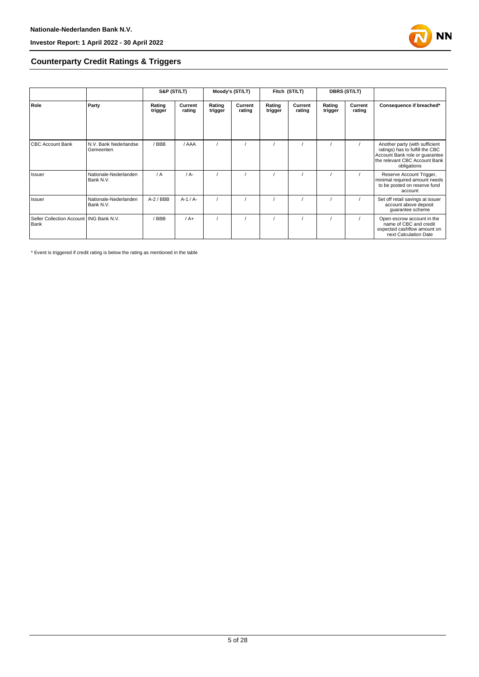

#### **Counterparty Credit Ratings & Triggers**

|                                                   |                                    | S&P (ST/LT)       |                   | Moody's (ST/LT)   |                   | Fitch (ST/LT)     |                   | <b>DBRS (ST/LT)</b> |                   |                                                                                                                                                     |  |
|---------------------------------------------------|------------------------------------|-------------------|-------------------|-------------------|-------------------|-------------------|-------------------|---------------------|-------------------|-----------------------------------------------------------------------------------------------------------------------------------------------------|--|
| Role                                              | Party                              | Rating<br>trigger | Current<br>rating | Rating<br>trigger | Current<br>rating | Rating<br>trigger | Current<br>rating | Rating<br>trigger   | Current<br>rating | Consequence if breached*                                                                                                                            |  |
| <b>CBC Account Bank</b>                           | N.V. Bank Nederlandse<br>Gemeenten | / BBB             | / AAA             |                   |                   |                   |                   |                     |                   | Another party (with sufficient<br>ratings) has to fulfill the CBC<br>Account Bank role or guarantee<br>the relevant CBC Account Bank<br>obligations |  |
| Issuer                                            | Nationale-Nederlanden<br>Bank N.V. | $\sqrt{A}$        | $/A -$            |                   |                   |                   |                   |                     |                   | Reserve Account Trigger,<br>minimal required amount needs<br>to be posted on reserve fund<br>account                                                |  |
| Issuer                                            | Nationale-Nederlanden<br>Bank N.V. | $A-2$ / BBB       | $A-1/A-$          |                   |                   |                   |                   |                     |                   | Set off retail savings at issuer<br>account above deposit<br>guarantee scheme                                                                       |  |
| Seller Collection Account   ING Bank N.V.<br>Bank |                                    | BBB               | $/A+$             |                   |                   |                   |                   |                     |                   | Open escrow account in the<br>name of CBC and credit<br>expected cashflow amount on<br>next Calculation Date                                        |  |

\* Event is triggered if credit rating is below the rating as mentioned in the table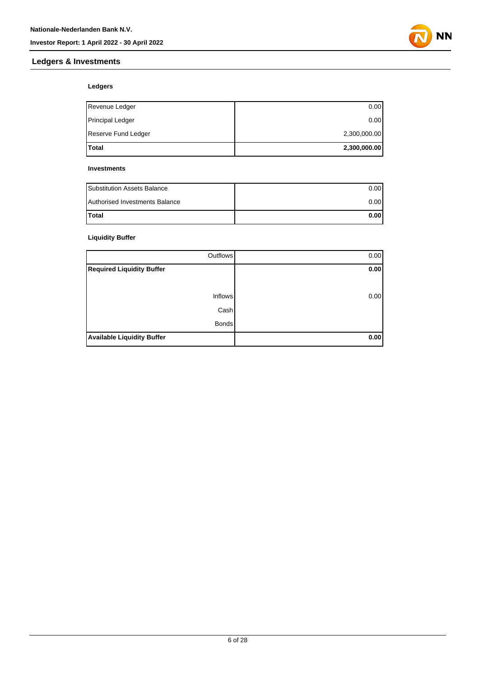### **Ledgers & Investments**



#### **Ledgers**

| lTotal                  | 2,300,000.00 |
|-------------------------|--------------|
| Reserve Fund Ledger     | 2,300,000.00 |
| <b>Principal Ledger</b> | 0.00         |
| Revenue Ledger          | 0.00         |

#### **Investments**

| <b>Substitution Assets Balance</b> | 0.001 |
|------------------------------------|-------|
| Authorised Investments Balance     | 0.001 |
| <b>Total</b>                       | 0.001 |

#### **Liquidity Buffer**

| Outflows                          | 0.00 |
|-----------------------------------|------|
| <b>Required Liquidity Buffer</b>  | 0.00 |
|                                   |      |
| <b>Inflows</b>                    | 0.00 |
| Cash                              |      |
| <b>Bonds</b>                      |      |
| <b>Available Liquidity Buffer</b> | 0.00 |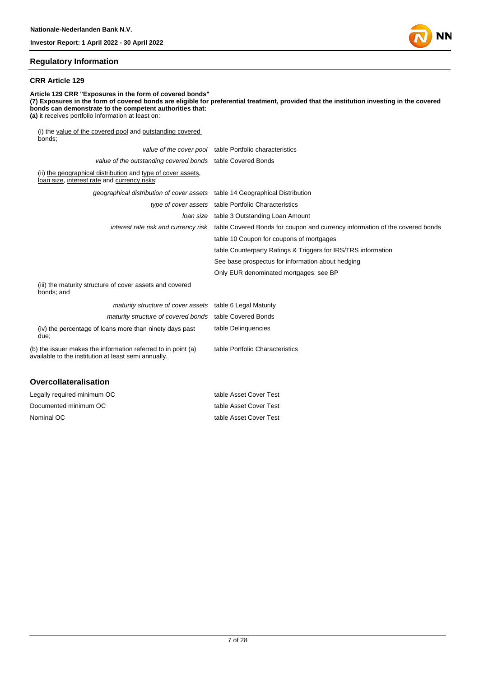#### **Regulatory Information**

#### **CRR Article 129**

**Article 129 CRR "Exposures in the form of covered bonds" (7) Exposures in the form of covered bonds are eligible for preferential treatment, provided that the institution investing in the covered bonds can demonstrate to the competent authorities that: (a)** it receives portfolio information at least on: (i) the value of the covered pool and outstanding covered  $bonds;$ 

|                                                                                                                       | value of the cover pool table Portfolio characteristics                                                           |
|-----------------------------------------------------------------------------------------------------------------------|-------------------------------------------------------------------------------------------------------------------|
| value of the outstanding covered bonds table Covered Bonds                                                            |                                                                                                                   |
| (ii) the geographical distribution and type of cover assets,<br>loan size, interest rate and currency risks;          |                                                                                                                   |
| geographical distribution of cover assets table 14 Geographical Distribution                                          |                                                                                                                   |
|                                                                                                                       | type of cover assets table Portfolio Characteristics                                                              |
|                                                                                                                       | loan size table 3 Outstanding Loan Amount                                                                         |
|                                                                                                                       | interest rate risk and currency risk table Covered Bonds for coupon and currency information of the covered bonds |
|                                                                                                                       | table 10 Coupon for coupons of mortgages                                                                          |
|                                                                                                                       | table Counterparty Ratings & Triggers for IRS/TRS information                                                     |
|                                                                                                                       | See base prospectus for information about hedging                                                                 |
|                                                                                                                       | Only EUR denominated mortgages: see BP                                                                            |
| (iii) the maturity structure of cover assets and covered<br>bonds; and                                                |                                                                                                                   |
| maturity structure of cover assets table 6 Legal Maturity                                                             |                                                                                                                   |
| maturity structure of covered bonds                                                                                   | table Covered Bonds                                                                                               |
| (iv) the percentage of loans more than ninety days past<br>due:                                                       | table Delinquencies                                                                                               |
| (b) the issuer makes the information referred to in point (a)<br>available to the institution at least semi annually. | table Portfolio Characteristics                                                                                   |
| <b>Overcollateralisation</b>                                                                                          |                                                                                                                   |

| Legally required minimum OC | table Asset Cover Test |
|-----------------------------|------------------------|
| Documented minimum OC       | table Asset Cover Test |
| Nominal OC                  | table Asset Cover Test |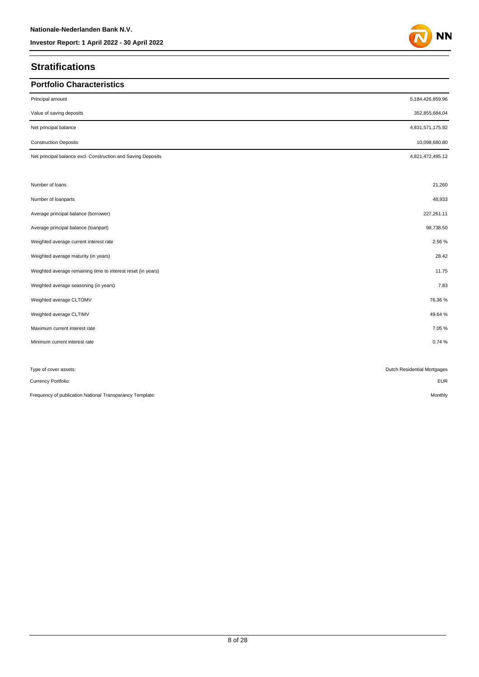### **Stratifications**

| <b>Portfolio Characteristics</b>                             |                             |
|--------------------------------------------------------------|-----------------------------|
| Principal amount                                             | 5,184,426,859.96            |
| Value of saving deposits                                     | 352,855,684.04              |
| Net principal balance                                        | 4,831,571,175.92            |
| <b>Construction Deposits</b>                                 | 10,098,680.80               |
| Net principal balance excl. Construction and Saving Deposits | 4,821,472,495.12            |
|                                                              |                             |
| Number of loans                                              | 21,260                      |
| Number of loanparts                                          | 48,933                      |
| Average principal balance (borrower)                         | 227,261.11                  |
| Average principal balance (loanpart)                         | 98,738.50                   |
| Weighted average current interest rate                       | 2.56 %                      |
| Weighted average maturity (in years)                         | 28.42                       |
| Weighted average remaining time to interest reset (in years) | 11.75                       |
| Weighted average seasoning (in years)                        | 7.83                        |
| Weighted average CLTOMV                                      | 76.36%                      |
| Weighted average CLTIMV                                      | 49.64%                      |
| Maximum current interest rate                                | 7.05%                       |
| Minimum current interest rate                                | 0.74%                       |
|                                                              |                             |
| Type of cover assets:                                        | Dutch Residential Mortgages |
| Currency Portfolio:                                          | <b>EUR</b>                  |
| Frequency of publication National Transparancy Template:     | Monthly                     |

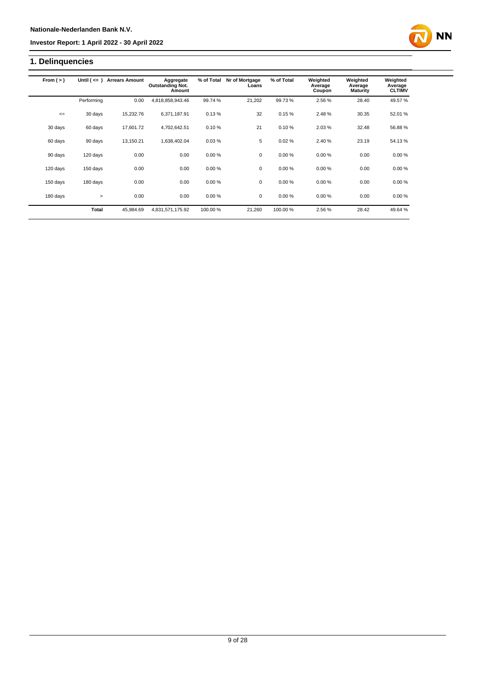## **1. Delinquencies**

| From $(>)$ | Until $($ $\leq$ $=$ $)$ | <b>Arrears Amount</b> | Aggregate<br><b>Outstanding Not.</b><br>Amount | % of Total | Nr of Mortgage<br>Loans | % of Total | Weighted<br>Average<br>Coupon | Weighted<br>Average<br><b>Maturity</b> | Weighted<br>Average<br><b>CLTIMV</b> |
|------------|--------------------------|-----------------------|------------------------------------------------|------------|-------------------------|------------|-------------------------------|----------------------------------------|--------------------------------------|
|            | Performing               | 0.00                  | 4,818,858,943.46                               | 99.74%     | 21,202                  | 99.73%     | 2.56%                         | 28.40                                  | 49.57 %                              |
| $\leq$     | 30 days                  | 15,232.76             | 6,371,187.91                                   | 0.13%      | 32                      | 0.15%      | 2.48%                         | 30.35                                  | 52.01 %                              |
| 30 days    | 60 days                  | 17,601.72             | 4,702,642.51                                   | 0.10%      | 21                      | 0.10%      | 2.03%                         | 32.48                                  | 56.88%                               |
| 60 days    | 90 days                  | 13,150.21             | 1,638,402.04                                   | 0.03%      | 5                       | 0.02%      | 2.40 %                        | 23.19                                  | 54.13%                               |
| 90 days    | 120 days                 | 0.00                  | 0.00                                           | 0.00%      | $\mathbf 0$             | 0.00%      | 0.00%                         | 0.00                                   | 0.00%                                |
| 120 days   | 150 days                 | 0.00                  | 0.00                                           | 0.00%      | $\mathbf 0$             | 0.00%      | 0.00%                         | 0.00                                   | 0.00%                                |
| 150 days   | 180 days                 | 0.00                  | 0.00                                           | 0.00%      | $\mathbf 0$             | 0.00%      | 0.00%                         | 0.00                                   | 0.00%                                |
| 180 days   | $\geq$                   | 0.00                  | 0.00                                           | 0.00%      | $\mathbf 0$             | 0.00%      | 0.00%                         | 0.00                                   | 0.00%                                |
|            | Total                    | 45.984.69             | 4,831,571,175.92                               | 100.00 %   | 21,260                  | 100.00%    | 2.56%                         | 28.42                                  | 49.64 %                              |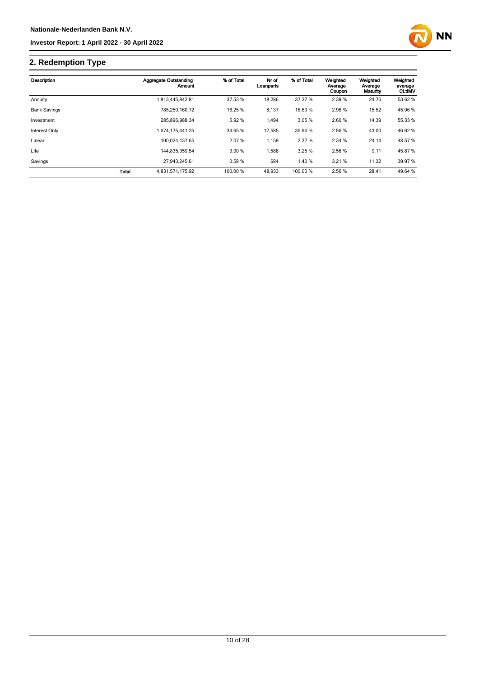

# **2. Redemption Type**

| Description         |              | Aggregate Outstanding<br>Amount | % of Total | Nr of<br>Loanparts | % of Total | Weighted<br>Average<br>Coupon | Weighted<br>Average<br>Maturity | Weighted<br>average<br><b>CLtIMV</b> |
|---------------------|--------------|---------------------------------|------------|--------------------|------------|-------------------------------|---------------------------------|--------------------------------------|
| Annuity             |              | 1,813,445,842.81                | 37.53 %    | 18,286             | 37.37 %    | 2.39 %                        | 24.76                           | 53.62 %                              |
| <b>Bank Savings</b> |              | 785.250.160.72                  | 16.25 %    | 8,137              | 16.63%     | 2.96%                         | 15.52                           | 45.96 %                              |
| Investment          |              | 285.896.988.34                  | 5.92 %     | 1,494              | 3.05%      | 2.60 %                        | 14.39                           | 55.33 %                              |
| Interest Only       |              | 1.674.175.441.25                | 34.65 %    | 17,585             | 35.94 %    | 2.56 %                        | 43.00                           | 46.62%                               |
| Linear              |              | 100.024.137.65                  | 2.07%      | 1,159              | 2.37 %     | 2.34 %                        | 24.14                           | 48.57 %                              |
| Life                |              | 144.835.359.54                  | 3.00%      | 1.588              | 3.25%      | 2.56 %                        | 9.11                            | 45.87%                               |
| Savings             |              | 27.943.245.61                   | 0.58%      | 684                | 1.40%      | 3.21%                         | 11.32                           | 39.97 %                              |
|                     | <b>Total</b> | 4.831.571.175.92                | 100.00 %   | 48.933             | 100.00 %   | 2.56 %                        | 28.41                           | 49.64 %                              |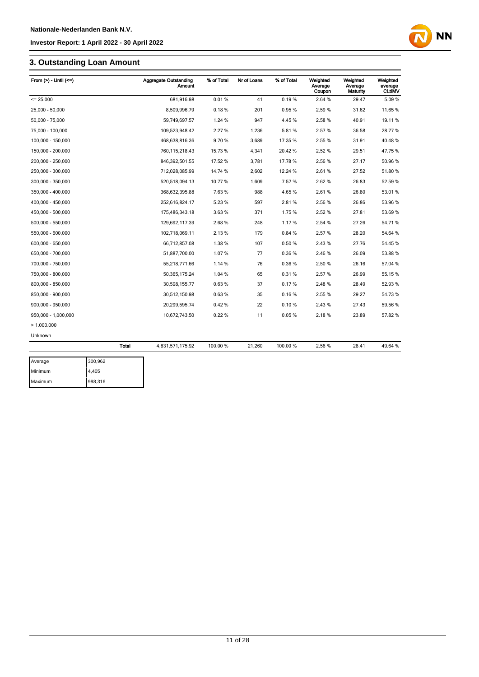### **3. Outstanding Loan Amount**

| From $(>)$ - Until $(<=)$ |              | <b>Aggregate Outstanding</b><br><b>Amount</b> | % of Total | Nr of Loans | % of Total | Weighted<br>Average<br>Coupon | Weighted<br>Average<br>Maturity | Weighted<br>average<br><b>CLtIMV</b> |
|---------------------------|--------------|-----------------------------------------------|------------|-------------|------------|-------------------------------|---------------------------------|--------------------------------------|
| $= 25.000$                |              | 681,916.98                                    | 0.01%      | 41          | 0.19%      | 2.64 %                        | 29.47                           | 5.09%                                |
| 25,000 - 50,000           |              | 8,509,996.79                                  | 0.18%      | 201         | 0.95%      | 2.59%                         | 31.62                           | 11.65 %                              |
| 50,000 - 75,000           |              | 59,749,697.57                                 | 1.24 %     | 947         | 4.45%      | 2.58%                         | 40.91                           | 19.11%                               |
| 75,000 - 100,000          |              | 109,523,948.42                                | 2.27 %     | 1,236       | 5.81%      | 2.57%                         | 36.58                           | 28.77%                               |
| 100,000 - 150,000         |              | 468,638,816.36                                | 9.70%      | 3,689       | 17.35 %    | 2.55 %                        | 31.91                           | 40.48%                               |
| 150,000 - 200,000         |              | 760,115,218.43                                | 15.73 %    | 4,341       | 20.42%     | 2.52%                         | 29.51                           | 47.75 %                              |
| 200,000 - 250,000         |              | 846,392,501.55                                | 17.52 %    | 3,781       | 17.78%     | 2.56%                         | 27.17                           | 50.96 %                              |
| 250,000 - 300,000         |              | 712,028,085.99                                | 14.74 %    | 2,602       | 12.24 %    | 2.61%                         | 27.52                           | 51.80 %                              |
| 300,000 - 350,000         |              | 520,518,094.13                                | 10.77 %    | 1,609       | 7.57 %     | 2.62%                         | 26.83                           | 52.59 %                              |
| 350,000 - 400,000         |              | 368,632,395.88                                | 7.63%      | 988         | 4.65%      | 2.61%                         | 26.80                           | 53.01 %                              |
| 400,000 - 450,000         |              | 252,616,824.17                                | 5.23 %     | 597         | 2.81%      | 2.56 %                        | 26.86                           | 53.96 %                              |
| 450,000 - 500,000         |              | 175,486,343.18                                | 3.63%      | 371         | 1.75%      | 2.52%                         | 27.81                           | 53.69 %                              |
| 500,000 - 550,000         |              | 129,692,117.39                                | 2.68%      | 248         | 1.17%      | 2.54 %                        | 27.26                           | 54.71 %                              |
| 550,000 - 600,000         |              | 102,718,069.11                                | 2.13%      | 179         | 0.84%      | 2.57%                         | 28.20                           | 54.64 %                              |
| 600,000 - 650,000         |              | 66,712,857.08                                 | 1.38 %     | 107         | 0.50%      | 2.43%                         | 27.76                           | 54.45 %                              |
| 650,000 - 700,000         |              | 51,887,700.00                                 | 1.07%      | 77          | 0.36%      | 2.46%                         | 26.09                           | 53.88%                               |
| 700,000 - 750,000         |              | 55,218,771.66                                 | 1.14 %     | 76          | 0.36%      | 2.50 %                        | 26.16                           | 57.04 %                              |
| 750,000 - 800,000         |              | 50,365,175.24                                 | 1.04 %     | 65          | 0.31%      | 2.57%                         | 26.99                           | 55.15 %                              |
| 800,000 - 850,000         |              | 30,598,155.77                                 | 0.63%      | 37          | 0.17%      | 2.48%                         | 28.49                           | 52.93 %                              |
| 850,000 - 900,000         |              | 30,512,150.98                                 | 0.63%      | 35          | 0.16%      | 2.55 %                        | 29.27                           | 54.73 %                              |
| 900.000 - 950.000         |              | 20,299,595.74                                 | 0.42%      | 22          | 0.10%      | 2.43%                         | 27.43                           | 59.56 %                              |
| 950,000 - 1,000,000       |              | 10,672,743.50                                 | 0.22%      | 11          | 0.05%      | 2.18%                         | 23.89                           | 57.82 %                              |
| >1.000.000                |              |                                               |            |             |            |                               |                                 |                                      |
| Unknown                   |              |                                               |            |             |            |                               |                                 |                                      |
|                           | <b>Total</b> | 4,831,571,175.92                              | 100.00 %   | 21,260      | 100.00%    | 2.56%                         | 28.41                           | 49.64 %                              |
| Average                   | 300,962      |                                               |            |             |            |                               |                                 |                                      |

| Average | 300,962 |
|---------|---------|
| Minimum | 4,405   |
| Maximum | 998,316 |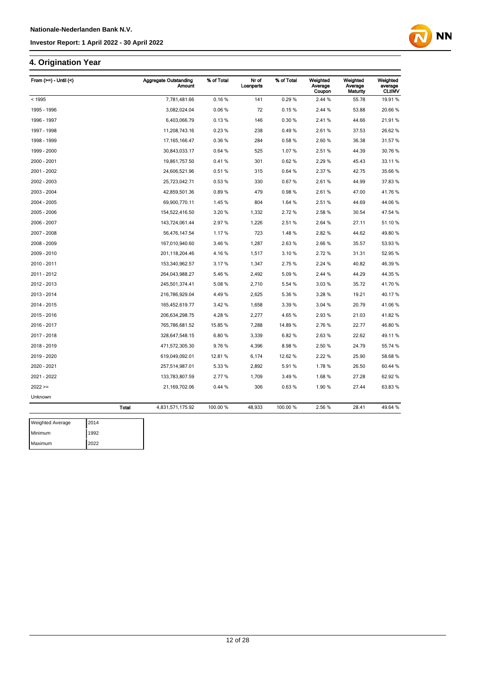### **4. Origination Year**

| From (>=) - Until (<) |              | <b>Aggregate Outstanding</b><br><b>Amount</b> | % of Total | Nr of<br>Loanparts | % of Total | Weighted<br>Average<br>Coupon | Weighted<br>Average<br>Maturity | Weighted<br>average<br><b>CLtIMV</b> |
|-----------------------|--------------|-----------------------------------------------|------------|--------------------|------------|-------------------------------|---------------------------------|--------------------------------------|
| < 1995                |              | 7,781,481.66                                  | 0.16%      | 141                | 0.29%      | 2.44 %                        | 55.78                           | 19.91 %                              |
| 1995 - 1996           |              | 3,082,024.04                                  | 0.06%      | 72                 | 0.15%      | 2.44 %                        | 53.88                           | 20.66 %                              |
| 1996 - 1997           |              | 6,403,066.79                                  | 0.13%      | 146                | 0.30%      | 2.41%                         | 44.66                           | 21.91%                               |
| 1997 - 1998           |              | 11,208,743.16                                 | 0.23%      | 238                | 0.49%      | 2.61%                         | 37.53                           | 26.62 %                              |
| 1998 - 1999           |              | 17, 165, 166.47                               | 0.36%      | 284                | 0.58%      | 2.60%                         | 36.38                           | 31.57 %                              |
| 1999 - 2000           |              | 30,843,033.17                                 | 0.64%      | 525                | 1.07%      | 2.51%                         | 44.39                           | 30.76 %                              |
| 2000 - 2001           |              | 19,861,757.50                                 | 0.41%      | 301                | 0.62%      | 2.29 %                        | 45.43                           | 33.11 %                              |
| 2001 - 2002           |              | 24,606,521.96                                 | 0.51%      | 315                | 0.64%      | 2.37 %                        | 42.75                           | 35.66 %                              |
| 2002 - 2003           |              | 25,723,042.71                                 | 0.53%      | 330                | 0.67%      | 2.61%                         | 44.99                           | 37.83%                               |
| 2003 - 2004           |              | 42,859,501.36                                 | 0.89%      | 479                | 0.98%      | 2.61%                         | 47.00                           | 41.76%                               |
| 2004 - 2005           |              | 69,900,770.11                                 | 1.45 %     | 804                | 1.64 %     | 2.51%                         | 44.69                           | 44.06%                               |
| 2005 - 2006           |              | 154,522,416.50                                | 3.20%      | 1,332              | 2.72%      | 2.58%                         | 30.54                           | 47.54 %                              |
| 2006 - 2007           |              | 143,724,061.44                                | 2.97 %     | 1,226              | 2.51 %     | 2.64 %                        | 27.11                           | 51.10 %                              |
| 2007 - 2008           |              | 56,476,147.54                                 | 1.17%      | 723                | 1.48%      | 2.82%                         | 44.62                           | 49.80 %                              |
| 2008 - 2009           |              | 167,010,940.60                                | 3.46 %     | 1,287              | 2.63%      | 2.66%                         | 35.57                           | 53.93 %                              |
| 2009 - 2010           |              | 201,118,204.46                                | 4.16%      | 1,517              | 3.10%      | 2.72%                         | 31.31                           | 52.95 %                              |
| 2010 - 2011           |              | 153,340,962.57                                | 3.17%      | 1,347              | 2.75%      | 2.24 %                        | 40.82                           | 46.39 %                              |
| 2011 - 2012           |              | 264,043,988.27                                | 5.46%      | 2,492              | 5.09%      | 2.44 %                        | 44.29                           | 44.35 %                              |
| 2012 - 2013           |              | 245,501,374.41                                | 5.08%      | 2,710              | 5.54 %     | 3.03%                         | 35.72                           | 41.70 %                              |
| 2013 - 2014           |              | 216,786,929.04                                | 4.49%      | 2,625              | 5.36%      | 3.28%                         | 19.21                           | 40.17%                               |
| 2014 - 2015           |              | 165,452,619.77                                | 3.42 %     | 1,658              | 3.39 %     | 3.04 %                        | 20.79                           | 41.06%                               |
| 2015 - 2016           |              | 206,634,298.75                                | 4.28%      | 2,277              | 4.65%      | 2.93%                         | 21.03                           | 41.82%                               |
| 2016 - 2017           |              | 765,786,681.52                                | 15.85 %    | 7,288              | 14.89%     | 2.76%                         | 22.77                           | 46.80 %                              |
| 2017 - 2018           |              | 328,647,548.15                                | 6.80%      | 3,339              | 6.82%      | 2.63%                         | 22.62                           | 49.11%                               |
| 2018 - 2019           |              | 471,572,305.30                                | 9.76%      | 4,396              | 8.98%      | 2.50 %                        | 24.79                           | 55.74 %                              |
| 2019 - 2020           |              | 619,049,092.01                                | 12.81 %    | 6,174              | 12.62 %    | 2.22 %                        | 25.90                           | 58.68 %                              |
| 2020 - 2021           |              | 257,514,987.01                                | 5.33%      | 2,892              | 5.91%      | 1.78%                         | 26.50                           | 60.44 %                              |
| 2021 - 2022           |              | 133,783,807.59                                | 2.77%      | 1,709              | 3.49%      | 1.68%                         | 27.28                           | 62.92 %                              |
| $2022 ==$             |              | 21,169,702.06                                 | 0.44%      | 306                | 0.63%      | 1.90%                         | 27.44                           | 63.83 %                              |
| Unknown               |              |                                               |            |                    |            |                               |                                 |                                      |
|                       | <b>Total</b> | 4,831,571,175.92                              | 100.00 %   | 48,933             | 100.00 %   | 2.56 %                        | 28.41                           | 49.64 %                              |
| .<br>$\sim$           |              |                                               |            |                    |            |                               |                                 |                                      |

| <b>Weighted Average</b> | 2014 |
|-------------------------|------|
| Minimum                 | 1992 |
| Maximum                 | 2022 |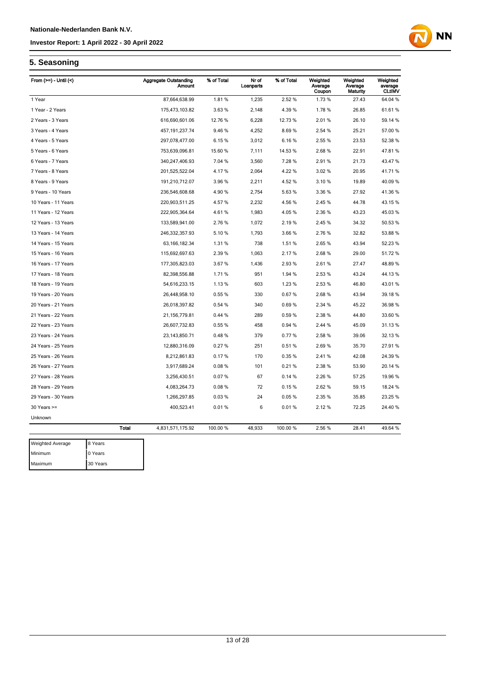

### **5. Seasoning**

| From $(>=)$ - Until $($ |              | <b>Aggregate Outstanding</b><br><b>Amount</b> | % of Total | Nr of<br>Loanparts | % of Total | Weighted<br>Average<br>Coupon | Weighted<br>Average<br>Maturity | Weighted<br>average<br><b>CLtIMV</b> |
|-------------------------|--------------|-----------------------------------------------|------------|--------------------|------------|-------------------------------|---------------------------------|--------------------------------------|
| 1 Year                  |              | 87,664,638.99                                 | 1.81%      | 1,235              | 2.52 %     | 1.73%                         | 27.43                           | 64.04 %                              |
| 1 Year - 2 Years        |              | 175,473,103.82                                | 3.63%      | 2,148              | 4.39%      | 1.78%                         | 26.85                           | 61.61%                               |
| 2 Years - 3 Years       |              | 616,690,601.06                                | 12.76 %    | 6,228              | 12.73%     | 2.01%                         | 26.10                           | 59.14 %                              |
| 3 Years - 4 Years       |              | 457, 191, 237. 74                             | 9.46%      | 4,252              | 8.69%      | 2.54 %                        | 25.21                           | 57.00 %                              |
| 4 Years - 5 Years       |              | 297,078,477.00                                | 6.15%      | 3,012              | 6.16%      | 2.55 %                        | 23.53                           | 52.38 %                              |
| 5 Years - 6 Years       |              | 753,639,096.81                                | 15.60 %    | 7,111              | 14.53%     | 2.68%                         | 22.91                           | 47.81%                               |
| 6 Years - 7 Years       |              | 340,247,406.93                                | 7.04 %     | 3,560              | 7.28%      | 2.91%                         | 21.73                           | 43.47%                               |
| 7 Years - 8 Years       |              | 201,525,522.04                                | 4.17%      | 2,064              | 4.22%      | 3.02%                         | 20.95                           | 41.71%                               |
| 8 Years - 9 Years       |              | 191,210,712.07                                | 3.96 %     | 2,211              | 4.52%      | 3.10%                         | 19.89                           | 40.09%                               |
| 9 Years - 10 Years      |              | 236,546,608.68                                | 4.90%      | 2,754              | 5.63%      | 3.36 %                        | 27.92                           | 41.36 %                              |
| 10 Years - 11 Years     |              | 220,903,511.25                                | 4.57%      | 2,232              | 4.56%      | 2.45 %                        | 44.78                           | 43.15 %                              |
| 11 Years - 12 Years     |              | 222,905,364.64                                | 4.61%      | 1,983              | 4.05%      | 2.36 %                        | 43.23                           | 45.03%                               |
| 12 Years - 13 Years     |              | 133,589,941.00                                | 2.76%      | 1,072              | 2.19%      | 2.45 %                        | 34.32                           | 50.53 %                              |
| 13 Years - 14 Years     |              | 246,332,357.93                                | 5.10%      | 1,793              | 3.66%      | 2.76%                         | 32.82                           | 53.88 %                              |
| 14 Years - 15 Years     |              | 63, 166, 182. 34                              | 1.31%      | 738                | 1.51%      | 2.65%                         | 43.94                           | 52.23 %                              |
| 15 Years - 16 Years     |              | 115,692,697.63                                | 2.39%      | 1,063              | 2.17%      | 2.68%                         | 29.00                           | 51.72%                               |
| 16 Years - 17 Years     |              | 177,305,823.03                                | 3.67 %     | 1,436              | 2.93 %     | 2.61%                         | 27.47                           | 48.89%                               |
| 17 Years - 18 Years     |              | 82,398,556.88                                 | 1.71 %     | 951                | 1.94 %     | 2.53 %                        | 43.24                           | 44.13%                               |
| 18 Years - 19 Years     |              | 54,616,233.15                                 | 1.13%      | 603                | 1.23 %     | 2.53%                         | 46.80                           | 43.01%                               |
| 19 Years - 20 Years     |              | 26,448,958.10                                 | 0.55 %     | 330                | 0.67%      | 2.68%                         | 43.94                           | 39.18 %                              |
| 20 Years - 21 Years     |              | 26,018,397.82                                 | 0.54 %     | 340                | 0.69%      | 2.34 %                        | 45.22                           | 36.98 %                              |
| 21 Years - 22 Years     |              | 21, 156, 779.81                               | 0.44%      | 289                | 0.59%      | 2.38%                         | 44.80                           | 33.60 %                              |
| 22 Years - 23 Years     |              | 26,607,732.83                                 | 0.55%      | 458                | 0.94 %     | 2.44 %                        | 45.09                           | 31.13 %                              |
| 23 Years - 24 Years     |              | 23, 143, 850. 71                              | 0.48%      | 379                | 0.77%      | 2.58%                         | 39.06                           | 32.13%                               |
| 24 Years - 25 Years     |              | 12,880,316.09                                 | 0.27%      | 251                | 0.51%      | 2.69%                         | 35.70                           | 27.91%                               |
| 25 Years - 26 Years     |              | 8,212,861.83                                  | 0.17%      | 170                | 0.35%      | 2.41%                         | 42.08                           | 24.39 %                              |
| 26 Years - 27 Years     |              | 3,917,689.24                                  | 0.08%      | 101                | 0.21%      | 2.38%                         | 53.90                           | 20.14 %                              |
| 27 Years - 28 Years     |              | 3,256,430.51                                  | 0.07%      | 67                 | 0.14%      | 2.26 %                        | 57.25                           | 19.96 %                              |
| 28 Years - 29 Years     |              | 4,083,264.73                                  | 0.08%      | 72                 | 0.15%      | 2.62%                         | 59.15                           | 18.24 %                              |
| 29 Years - 30 Years     |              | 1,266,297.85                                  | 0.03%      | 24                 | 0.05%      | 2.35 %                        | 35.85                           | 23.25 %                              |
| $30$ Years $>=$         |              | 400,523.41                                    | 0.01%      | 6                  | 0.01%      | 2.12%                         | 72.25                           | 24.40 %                              |
| Unknown                 |              |                                               |            |                    |            |                               |                                 |                                      |
|                         | <b>Total</b> | 4,831,571,175.92                              | 100.00 %   | 48,933             | 100.00 %   | 2.56 %                        | 28.41                           | 49.64 %                              |
| Mainhard Aves           | 0.37         |                                               |            |                    |            |                               |                                 |                                      |

| <b>Weighted Average</b> | 8 Years  |
|-------------------------|----------|
| Minimum                 | 0 Years  |
| Maximum                 | 30 Years |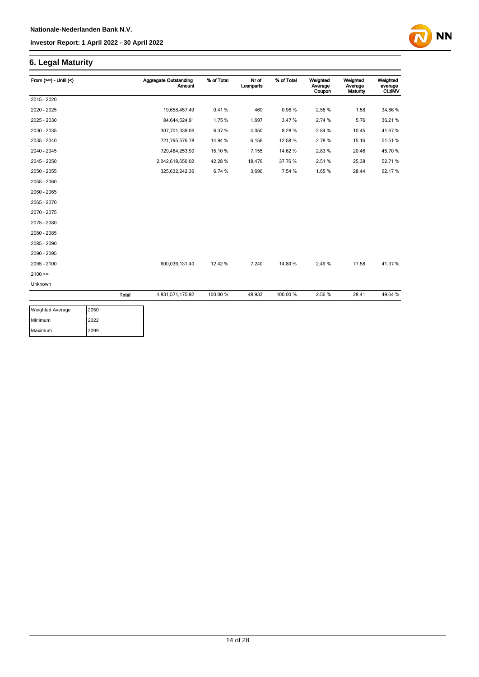### **6. Legal Maturity**

| From $(>=) -$ Until $($ |              | <b>Aggregate Outstanding</b><br><b>Amount</b> | % of Total | Nr of<br>Loanparts | % of Total | Weighted<br>Average<br>Coupon | Weighted<br>Average<br><b>Maturity</b> | Weighted<br>average<br><b>CLtIMV</b> |
|-------------------------|--------------|-----------------------------------------------|------------|--------------------|------------|-------------------------------|----------------------------------------|--------------------------------------|
| 2015 - 2020             |              |                                               |            |                    |            |                               |                                        |                                      |
| 2020 - 2025             |              | 19,658,457.49                                 | 0.41%      | 469                | 0.96%      | 2.58%                         | 1.58                                   | 34.86 %                              |
| 2025 - 2030             |              | 84,644,524.91                                 | 1.75%      | 1,697              | 3.47%      | 2.74 %                        | 5.76                                   | 36.21 %                              |
| 2030 - 2035             |              | 307,701,339.06                                | 6.37%      | 4,050              | 8.28%      | 2.84 %                        | 10.45                                  | 41.67%                               |
| 2035 - 2040             |              | 721,795,576.78                                | 14.94 %    | 6,156              | 12.58%     | 2.78%                         | 15.16                                  | 51.51 %                              |
| 2040 - 2045             |              | 729,484,253.90                                | 15.10 %    | 7,155              | 14.62%     | 2.83%                         | 20.46                                  | 45.70 %                              |
| 2045 - 2050             |              | 2,042,618,650.02                              | 42.28%     | 18,476             | 37.76%     | 2.51%                         | 25.38                                  | 52.71 %                              |
| 2050 - 2055             |              | 325,632,242.36                                | 6.74 %     | 3,690              | 7.54 %     | 1.65%                         | 28.44                                  | 62.17%                               |
| 2055 - 2060             |              |                                               |            |                    |            |                               |                                        |                                      |
| 2060 - 2065             |              |                                               |            |                    |            |                               |                                        |                                      |
| 2065 - 2070             |              |                                               |            |                    |            |                               |                                        |                                      |
| 2070 - 2075             |              |                                               |            |                    |            |                               |                                        |                                      |
| 2075 - 2080             |              |                                               |            |                    |            |                               |                                        |                                      |
| 2080 - 2085             |              |                                               |            |                    |            |                               |                                        |                                      |
| 2085 - 2090             |              |                                               |            |                    |            |                               |                                        |                                      |
| 2090 - 2095             |              |                                               |            |                    |            |                               |                                        |                                      |
| 2095 - 2100             |              | 600,036,131.40                                | 12.42 %    | 7,240              | 14.80%     | 2.49%                         | 77.58                                  | 41.37%                               |
| $2100 =$                |              |                                               |            |                    |            |                               |                                        |                                      |
| Unknown                 |              |                                               |            |                    |            |                               |                                        |                                      |
|                         | <b>Total</b> | 4,831,571,175.92                              | 100.00 %   | 48,933             | 100.00%    | 2.56%                         | 28.41                                  | 49.64 %                              |

| <b>Weighted Average</b> | 2050 |
|-------------------------|------|
| Minimum                 | 2022 |
| Maximum                 | 2099 |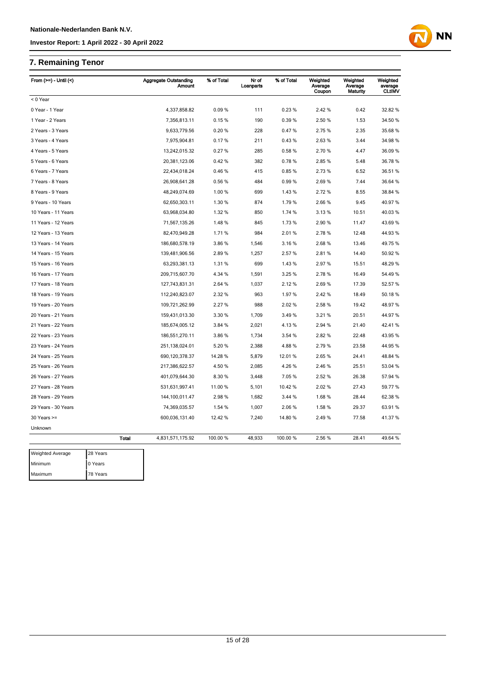### **7. Remaining Tenor**

| From $(>=)$ - Until $($ |              | <b>Aggregate Outstanding</b> | Amount       | % of Total | Nr of<br>Loanparts | % of Total | Weighted<br>Average<br>Coupon | Weighted<br>Average<br>Maturity | Weighted<br>average<br><b>CLtIMV</b> |
|-------------------------|--------------|------------------------------|--------------|------------|--------------------|------------|-------------------------------|---------------------------------|--------------------------------------|
| < 0 Year                |              |                              |              |            |                    |            |                               |                                 |                                      |
| 0 Year - 1 Year         |              |                              | 4,337,858.82 | 0.09%      | 111                | 0.23%      | 2.42%                         | 0.42                            | 32.82 %                              |
| 1 Year - 2 Years        |              |                              | 7,356,813.11 | 0.15%      | 190                | 0.39%      | 2.50 %                        | 1.53                            | 34.50 %                              |
| 2 Years - 3 Years       |              |                              | 9,633,779.56 | 0.20%      | 228                | 0.47%      | 2.75%                         | 2.35                            | 35.68 %                              |
| 3 Years - 4 Years       |              | 7,975,904.81                 |              | 0.17%      | 211                | 0.43%      | 2.63%                         | 3.44                            | 34.98 %                              |
| 4 Years - 5 Years       |              | 13,242,015.32                |              | 0.27%      | 285                | 0.58%      | 2.70%                         | 4.47                            | 36.09 %                              |
| 5 Years - 6 Years       |              | 20,381,123.06                |              | 0.42%      | 382                | 0.78%      | 2.85%                         | 5.48                            | 36.78 %                              |
| 6 Years - 7 Years       |              | 22,434,018.24                |              | 0.46%      | 415                | 0.85%      | 2.73%                         | 6.52                            | 36.51 %                              |
| 7 Years - 8 Years       |              | 26,908,641.28                |              | 0.56%      | 484                | 0.99%      | 2.69%                         | 7.44                            | 36.64 %                              |
| 8 Years - 9 Years       |              | 48,249,074.69                |              | 1.00%      | 699                | 1.43%      | 2.72%                         | 8.55                            | 38.84 %                              |
| 9 Years - 10 Years      |              | 62,650,303.11                |              | 1.30 %     | 874                | 1.79%      | 2.66%                         | 9.45                            | 40.97 %                              |
| 10 Years - 11 Years     |              | 63,968,034.80                |              | 1.32 %     | 850                | 1.74 %     | 3.13%                         | 10.51                           | 40.03%                               |
| 11 Years - 12 Years     |              | 71,567,135.26                |              | 1.48%      | 845                | 1.73%      | 2.90%                         | 11.47                           | 43.69%                               |
| 12 Years - 13 Years     |              | 82,470,949.28                |              | 1.71%      | 984                | 2.01%      | 2.78%                         | 12.48                           | 44.93 %                              |
| 13 Years - 14 Years     |              | 186,680,578.19               |              | 3.86%      | 1,546              | 3.16%      | 2.68%                         | 13.46                           | 49.75 %                              |
| 14 Years - 15 Years     |              | 139,481,906.56               |              | 2.89%      | 1,257              | 2.57 %     | 2.81%                         | 14.40                           | 50.92 %                              |
| 15 Years - 16 Years     |              | 63,293,381.13                |              | 1.31%      | 699                | 1.43%      | 2.97%                         | 15.51                           | 48.29 %                              |
| 16 Years - 17 Years     |              | 209,715,607.70               |              | 4.34 %     | 1,591              | 3.25 %     | 2.78%                         | 16.49                           | 54.49 %                              |
| 17 Years - 18 Years     |              | 127,743,831.31               |              | 2.64 %     | 1,037              | 2.12%      | 2.69%                         | 17.39                           | 52.57 %                              |
| 18 Years - 19 Years     |              | 112,240,823.07               |              | 2.32 %     | 963                | 1.97%      | 2.42 %                        | 18.49                           | 50.18%                               |
| 19 Years - 20 Years     |              | 109,721,262.99               |              | 2.27 %     | 988                | 2.02%      | 2.58%                         | 19.42                           | 48.97 %                              |
| 20 Years - 21 Years     |              | 159,431,013.30               |              | 3.30 %     | 1,709              | 3.49%      | 3.21%                         | 20.51                           | 44.97%                               |
| 21 Years - 22 Years     |              | 185,674,005.12               |              | 3.84 %     | 2,021              | 4.13%      | 2.94 %                        | 21.40                           | 42.41%                               |
| 22 Years - 23 Years     |              | 186,551,270.11               |              | 3.86%      | 1,734              | 3.54 %     | 2.82%                         | 22.48                           | 43.95 %                              |
| 23 Years - 24 Years     |              | 251,138,024.01               |              | 5.20%      | 2,388              | 4.88%      | 2.79%                         | 23.58                           | 44.95 %                              |
| 24 Years - 25 Years     |              | 690, 120, 378.37             |              | 14.28 %    | 5,879              | 12.01%     | 2.65%                         | 24.41                           | 48.84 %                              |
| 25 Years - 26 Years     |              | 217,386,622.57               |              | 4.50%      | 2,085              | 4.26%      | 2.46 %                        | 25.51                           | 53.04 %                              |
| 26 Years - 27 Years     |              | 401,079,644.30               |              | 8.30 %     | 3,448              | 7.05%      | 2.52 %                        | 26.38                           | 57.94 %                              |
| 27 Years - 28 Years     |              | 531,631,997.41               |              | 11.00 %    | 5,101              | 10.42%     | 2.02%                         | 27.43                           | 59.77 %                              |
| 28 Years - 29 Years     |              | 144,100,011.47               |              | 2.98%      | 1,682              | 3.44 %     | 1.68%                         | 28.44                           | 62.38 %                              |
| 29 Years - 30 Years     |              | 74,369,035.57                |              | 1.54 %     | 1,007              | 2.06%      | 1.58%                         | 29.37                           | 63.91 %                              |
| $30$ Years $>=$         |              | 600,036,131.40               |              | 12.42 %    | 7,240              | 14.80 %    | 2.49%                         | 77.58                           | 41.37 %                              |
| Unknown                 |              |                              |              |            |                    |            |                               |                                 |                                      |
|                         | <b>Total</b> | 4,831,571,175.92             |              | 100.00 %   | 48,933             | 100.00%    | 2.56 %                        | 28.41                           | 49.64 %                              |
| <b>Weighted Average</b> | 28 Years     |                              |              |            |                    |            |                               |                                 |                                      |
| Minimum                 | 0 Years      |                              |              |            |                    |            |                               |                                 |                                      |
| Maximum                 | 78 Years     |                              |              |            |                    |            |                               |                                 |                                      |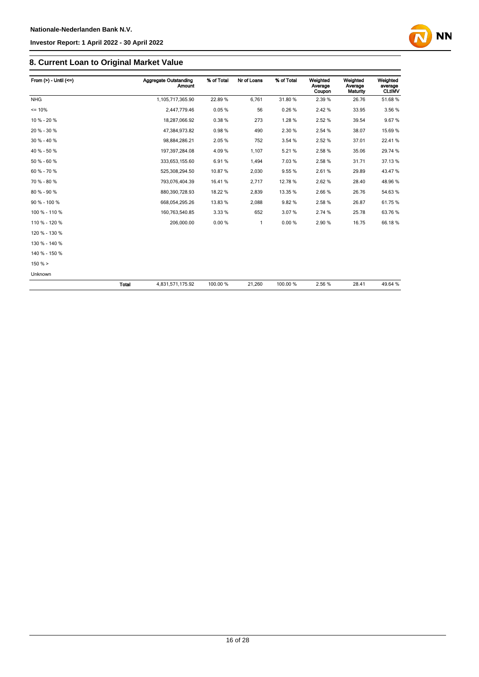

| From $(>) -$ Until $(<=)$ |              | Aggregate Outstanding<br>Amount | % of Total | Nr of Loans | % of Total | Weighted<br>Average<br>Coupon | Weighted<br>Average<br>Maturity | Weighted<br>average<br><b>CLtIMV</b> |
|---------------------------|--------------|---------------------------------|------------|-------------|------------|-------------------------------|---------------------------------|--------------------------------------|
| <b>NHG</b>                |              | 1,105,717,365.90                | 22.89%     | 6.761       | 31.80%     | 2.39%                         | 26.76                           | 51.68%                               |
| $= 10%$                   |              | 2,447,779.46                    | 0.05%      | 56          | 0.26%      | 2.42%                         | 33.95                           | 3.56 %                               |
| 10 % - 20 %               |              | 18,287,066.92                   | 0.38%      | 273         | 1.28%      | 2.52%                         | 39.54                           | 9.67%                                |
| 20 % - 30 %               |              | 47,384,973.82                   | 0.98%      | 490         | 2.30 %     | 2.54 %                        | 38.07                           | 15.69%                               |
| 30 % - 40 %               |              | 98,884,286.21                   | 2.05 %     | 752         | 3.54 %     | 2.52%                         | 37.01                           | 22.41%                               |
| 40 % - 50 %               |              | 197,397,284.08                  | 4.09%      | 1,107       | 5.21%      | 2.58%                         | 35.06                           | 29.74 %                              |
| 50 % - 60 %               |              | 333,653,155.60                  | 6.91%      | 1,494       | 7.03%      | 2.58%                         | 31.71                           | 37.13 %                              |
| 60 % - 70 %               |              | 525,308,294.50                  | 10.87%     | 2,030       | 9.55%      | 2.61%                         | 29.89                           | 43.47%                               |
| 70 % - 80 %               |              | 793,076,404.39                  | 16.41 %    | 2,717       | 12.78 %    | 2.62%                         | 28.40                           | 48.96%                               |
| 80 % - 90 %               |              | 880,390,728.93                  | 18.22 %    | 2,839       | 13.35 %    | 2.66%                         | 26.76                           | 54.63%                               |
| 90 % - 100 %              |              | 668,054,295.26                  | 13.83%     | 2,088       | 9.82%      | 2.58%                         | 26.87                           | 61.75%                               |
| 100 % - 110 %             |              | 160,763,540.85                  | 3.33 %     | 652         | 3.07%      | 2.74 %                        | 25.78                           | 63.76 %                              |
| 110 % - 120 %             |              | 206,000.00                      | 0.00%      | 1           | 0.00%      | 2.90%                         | 16.75                           | 66.18%                               |
| 120 % - 130 %             |              |                                 |            |             |            |                               |                                 |                                      |
| 130 % - 140 %             |              |                                 |            |             |            |                               |                                 |                                      |
| 140 % - 150 %             |              |                                 |            |             |            |                               |                                 |                                      |
| 150% >                    |              |                                 |            |             |            |                               |                                 |                                      |
| Unknown                   |              |                                 |            |             |            |                               |                                 |                                      |
|                           | <b>Total</b> | 4,831,571,175.92                | 100.00 %   | 21,260      | 100.00 %   | 2.56%                         | 28.41                           | 49.64 %                              |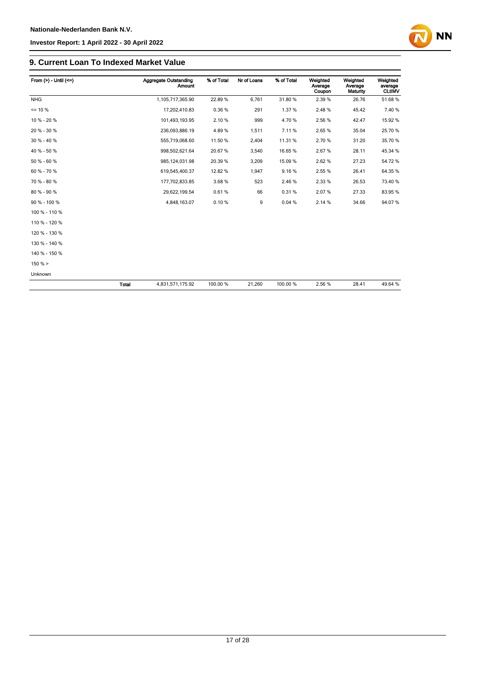

#### **9. Current Loan To Indexed Market Value**

| From $(>) -$ Until $(<=)$ |              | <b>Aggregate Outstanding</b><br>Amount | % of Total | Nr of Loans | % of Total | Weighted<br>Average<br>Coupon | Weighted<br>Average<br>Maturity | Weighted<br>average<br><b>CLtIMV</b> |
|---------------------------|--------------|----------------------------------------|------------|-------------|------------|-------------------------------|---------------------------------|--------------------------------------|
| <b>NHG</b>                |              | 1,105,717,365.90                       | 22.89%     | 6,761       | 31.80%     | 2.39%                         | 26.76                           | 51.68%                               |
| $= 10 \%$                 |              | 17,202,410.83                          | 0.36%      | 291         | 1.37%      | 2.48%                         | 45.42                           | 7.40%                                |
| 10 % - 20 %               |              | 101,493,193.95                         | 2.10%      | 999         | 4.70%      | 2.56 %                        | 42.47                           | 15.92 %                              |
| 20 % - 30 %               |              | 236,093,886.19                         | 4.89%      | 1,511       | 7.11%      | 2.65%                         | 35.04                           | 25.70 %                              |
| 30 % - 40 %               |              | 555,719,068.60                         | 11.50 %    | 2,404       | 11.31%     | 2.70%                         | 31.20                           | 35.70 %                              |
| 40 % - 50 %               |              | 998,502,621.64                         | 20.67%     | 3,540       | 16.65%     | 2.67%                         | 28.11                           | 45.34 %                              |
| 50 % - 60 %               |              | 985, 124, 031.98                       | 20.39 %    | 3,209       | 15.09%     | 2.62%                         | 27.23                           | 54.72%                               |
| 60 % - 70 %               |              | 619,545,400.37                         | 12.82 %    | 1,947       | 9.16%      | 2.55 %                        | 26.41                           | 64.35 %                              |
| 70 % - 80 %               |              | 177,702,833.85                         | 3.68%      | 523         | 2.46%      | 2.33 %                        | 26.53                           | 73.40 %                              |
| 80 % - 90 %               |              | 29,622,199.54                          | 0.61%      | 66          | 0.31%      | 2.07%                         | 27.33                           | 83.95 %                              |
| 90 % - 100 %              |              | 4,848,163.07                           | 0.10%      | 9           | 0.04%      | 2.14 %                        | 34.66                           | 94.07%                               |
| 100 % - 110 %             |              |                                        |            |             |            |                               |                                 |                                      |
| 110 % - 120 %             |              |                                        |            |             |            |                               |                                 |                                      |
| 120 % - 130 %             |              |                                        |            |             |            |                               |                                 |                                      |
| 130 % - 140 %             |              |                                        |            |             |            |                               |                                 |                                      |
| 140 % - 150 %             |              |                                        |            |             |            |                               |                                 |                                      |
| $150 \% >$                |              |                                        |            |             |            |                               |                                 |                                      |
| Unknown                   |              |                                        |            |             |            |                               |                                 |                                      |
|                           | <b>Total</b> | 4,831,571,175.92                       | 100.00 %   | 21,260      | 100.00%    | 2.56 %                        | 28.41                           | 49.64 %                              |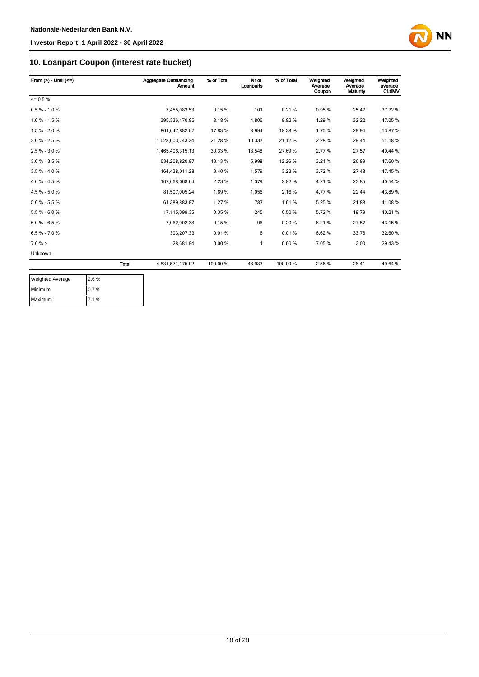

### **10. Loanpart Coupon (interest rate bucket)**

| From $(>) -$ Until $(<=)$ |       | <b>Aggregate Outstanding</b><br><b>Amount</b> | % of Total | Nr of<br>Loanparts | % of Total | Weighted<br>Average<br>Coupon | Weighted<br>Average<br>Maturity | Weighted<br>average<br><b>CLtIMV</b> |
|---------------------------|-------|-----------------------------------------------|------------|--------------------|------------|-------------------------------|---------------------------------|--------------------------------------|
| $= 0.5 \%$                |       |                                               |            |                    |            |                               |                                 |                                      |
| $0.5 % - 1.0 %$           |       | 7,455,083.53                                  | 0.15%      | 101                | 0.21%      | 0.95%                         | 25.47                           | 37.72 %                              |
| $1.0 \% - 1.5 \%$         |       | 395,336,470.85                                | 8.18%      | 4,806              | 9.82%      | 1.29%                         | 32.22                           | 47.05%                               |
| $1.5 % - 2.0 %$           |       | 861,647,882.07                                | 17.83%     | 8,994              | 18.38%     | 1.75%                         | 29.94                           | 53.87 %                              |
| $2.0 \% - 2.5 \%$         |       | 1,028,003,743.24                              | 21.28 %    | 10,337             | 21.12%     | 2.28%                         | 29.44                           | 51.18%                               |
| $2.5 \% - 3.0 \%$         |       | 1,465,406,315.13                              | 30.33 %    | 13,548             | 27.69%     | 2.77%                         | 27.57                           | 49.44 %                              |
| $3.0 % - 3.5 %$           |       | 634,208,820.97                                | 13.13 %    | 5,998              | 12.26%     | 3.21%                         | 26.89                           | 47.60%                               |
| $3.5% - 4.0%$             |       | 164,438,011.28                                | 3.40 %     | 1,579              | 3.23%      | 3.72%                         | 27.48                           | 47.45 %                              |
| $4.0 \% - 4.5 \%$         |       | 107.668.068.64                                | 2.23 %     | 1.379              | 2.82%      | 4.21%                         | 23.85                           | 40.54 %                              |
| 4.5 % - 5.0 %             |       | 81,507,005.24                                 | 1.69%      | 1,056              | 2.16%      | 4.77%                         | 22.44                           | 43.89%                               |
| $5.0 % - 5.5 %$           |       | 61,389,883.97                                 | 1.27 %     | 787                | 1.61%      | 5.25%                         | 21.88                           | 41.08%                               |
| $5.5% - 6.0%$             |       | 17,115,099.35                                 | 0.35%      | 245                | 0.50%      | 5.72%                         | 19.79                           | 40.21%                               |
| $6.0 % - 6.5 %$           |       | 7,062,902.38                                  | 0.15%      | 96                 | 0.20%      | 6.21%                         | 27.57                           | 43.15%                               |
| $6.5 \% - 7.0 \%$         |       | 303,207.33                                    | 0.01%      | 6                  | 0.01%      | 6.62%                         | 33.76                           | 32.60 %                              |
| $7.0 \%$ >                |       | 28.681.94                                     | 0.00%      | 1                  | 0.00%      | 7.05%                         | 3.00                            | 29.43 %                              |
| Unknown                   |       |                                               |            |                    |            |                               |                                 |                                      |
|                           | Total | 4,831,571,175.92                              | 100.00 %   | 48,933             | 100.00 %   | 2.56%                         | 28.41                           | 49.64 %                              |

| <b>Weighted Average</b> | 2.6% |
|-------------------------|------|
| Minimum                 | 0.7% |
| Maximum                 | 7.1% |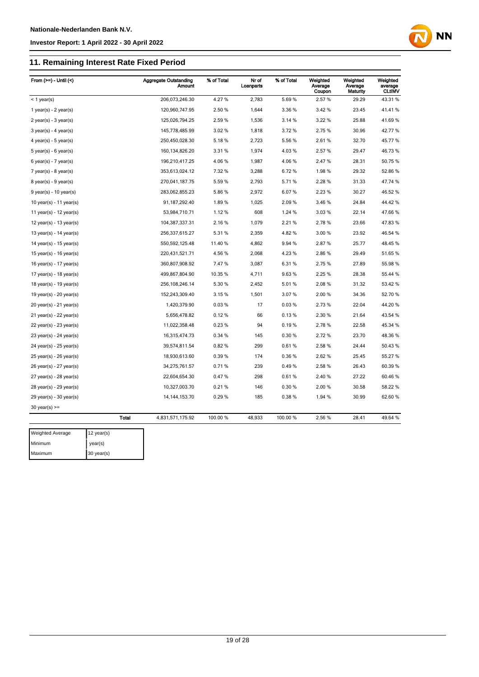#### **Investor Report: 1 April 2022 - 30 April 2022**

#### **11. Remaining Interest Rate Fixe**

| 11. Remaining Interest Rate Fixed Period |                                        |            |                    |            |                               |                                 |                                      |  |
|------------------------------------------|----------------------------------------|------------|--------------------|------------|-------------------------------|---------------------------------|--------------------------------------|--|
| From $(>=) -$ Until $($                  | <b>Aggregate Outstanding</b><br>Amount | % of Total | Nr of<br>Loanparts | % of Total | Weighted<br>Average<br>Coupon | Weighted<br>Average<br>Maturity | Weighted<br>average<br><b>CLtIMV</b> |  |
| $<$ 1 year(s)                            | 206,073,246.30                         | 4.27%      | 2,783              | 5.69%      | 2.57 %                        | 29.29                           | 43.31%                               |  |
| $1$ year(s) - $2$ year(s)                | 120,960,747.95                         | 2.50 %     | 1,644              | 3.36 %     | 3.42 %                        | 23.45                           | 41.41%                               |  |
| $2$ year(s) - $3$ year(s)                | 125,026,794.25                         | 2.59%      | 1,536              | 3.14 %     | 3.22 %                        | 25.88                           | 41.69%                               |  |
| $3$ year(s) - 4 year(s)                  | 145,778,485.99                         | 3.02%      | 1,818              | 3.72%      | 2.75 %                        | 30.96                           | 42.77%                               |  |
| 4 year(s) - $5$ year(s)                  | 250,450,028.30                         | 5.18%      | 2,723              | 5.56%      | 2.61%                         | 32.70                           | 45.77%                               |  |
| $5$ year(s) - $6$ year(s)                | 160, 134, 826. 20                      | 3.31 %     | 1,974              | 4.03%      | 2.57 %                        | 29.47                           | 46.73%                               |  |
| $6$ year(s) - 7 year(s)                  | 196,210,417.25                         | 4.06%      | 1,987              | 4.06%      | 2.47%                         | 28.31                           | 50.75%                               |  |
| $7$ year(s) - 8 year(s)                  | 353,613,024.12                         | 7.32 %     | 3,288              | 6.72%      | 1.98%                         | 29.32                           | 52.86 %                              |  |
| $8$ year(s) - $9$ year(s)                | 270,041,187.75                         | 5.59%      | 2,793              | 5.71%      | 2.28 %                        | 31.33                           | 47.74 %                              |  |
| $9$ year(s) - 10 year(s)                 | 283,062,855.23                         | 5.86%      | 2,972              | 6.07%      | 2.23 %                        | 30.27                           | 46.52 %                              |  |
| 10 year(s) - 11 year(s)                  | 91, 187, 292.40                        | 1.89%      | 1,025              | 2.09%      | 3.46 %                        | 24.84                           | 44.42%                               |  |
| 11 year(s) - $12$ year(s)                | 53,984,710.71                          | 1.12%      | 608                | 1.24 %     | 3.03%                         | 22.14                           | 47.66%                               |  |
| 12 year(s) - 13 year(s)                  | 104,387,337.31                         | 2.16%      | 1,079              | 2.21%      | 2.78%                         | 23.66                           | 47.83%                               |  |
| 13 year(s) - 14 year(s)                  | 256,337,615.27                         | 5.31%      | 2,359              | 4.82%      | 3.00 %                        | 23.92                           | 46.54 %                              |  |
| 14 year(s) - $15$ year(s)                | 550,592,125.48                         | 11.40 %    | 4,862              | 9.94 %     | 2.87%                         | 25.77                           | 48.45 %                              |  |

**NN** 

| Minimum                     | $v\rho$ ar $(e)$ |                   |          |        |          |        |       |         |
|-----------------------------|------------------|-------------------|----------|--------|----------|--------|-------|---------|
| Weighted Average            | 12 year(s)       |                   |          |        |          |        |       |         |
|                             | <b>Total</b>     | 4,831,571,175.92  | 100.00 % | 48,933 | 100.00 % | 2.56%  | 28.41 | 49.64 % |
| 30 year(s) $>=$             |                  |                   |          |        |          |        |       |         |
| 29 year(s) - 30 year(s)     |                  | 14, 144, 153. 70  | 0.29%    | 185    | 0.38%    | 1.94 % | 30.99 | 62.60 % |
| 28 year(s) - 29 year(s)     |                  | 10,327,003.70     | 0.21%    | 146    | 0.30%    | 2.00%  | 30.58 | 58.22 % |
| 27 year(s) - 28 year(s)     |                  | 22,604,654.30     | 0.47%    | 298    | 0.61%    | 2.40%  | 27.22 | 60.46 % |
| 26 year(s) - 27 year(s)     |                  | 34,275,761.57     | 0.71%    | 239    | 0.49%    | 2.58%  | 26.43 | 60.39%  |
| 25 year(s) - 26 year(s)     |                  | 18,930,613.60     | 0.39%    | 174    | 0.36%    | 2.62%  | 25.45 | 55.27 % |
| 24 year(s) - 25 year(s)     |                  | 39,574,811.54     | 0.82%    | 299    | 0.61%    | 2.58%  | 24.44 | 50.43 % |
| 23 year(s) - 24 year(s)     |                  | 16,315,474.73     | 0.34 %   | 145    | 0.30%    | 2.72%  | 23.70 | 48.36%  |
| 22 year(s) - 23 year(s)     |                  | 11,022,358.48     | 0.23%    | 94     | 0.19%    | 2.78%  | 22.58 | 45.34 % |
| 21 year(s) - 22 year(s)     |                  | 5,656,478.82      | 0.12%    | 66     | 0.13%    | 2.30 % | 21.64 | 43.54 % |
| 20 year(s) - 21 year(s)     |                  | 1,420,379.90      | 0.03%    | 17     | 0.03%    | 2.73 % | 22.04 | 44.20%  |
| 19 year(s) - 20 year(s)     |                  | 152,243,309.40    | 3.15%    | 1,501  | 3.07%    | 2.00%  | 34.36 | 52.70 % |
| 18 year(s) - 19 year(s)     |                  | 256, 108, 246. 14 | 5.30 %   | 2,452  | 5.01%    | 2.08%  | 31.32 | 53.42 % |
| 17 year(s) - 18 year(s)     |                  | 499,867,804.90    | 10.35 %  | 4,711  | 9.63%    | 2.25 % | 28.38 | 55.44 % |
| 16 year(s) - 17 year(s)     |                  | 360,807,908.92    | 7.47%    | 3,087  | 6.31%    | 2.75 % | 27.89 | 55.98 % |
| 15 year(s) - 16 year(s)     |                  | 220,431,521.71    | 4.56%    | 2,068  | 4.23%    | 2.86%  | 29.49 | 51.65 % |
| 14 year(s) - 15 year(s)     |                  | 550,592,125.48    | 11.40 %  | 4,862  | 9.94 %   | 2.87%  | 25.77 | 48.45%  |
| 13 year(s) - 14 year(s)     |                  | 256,337,615.27    | 5.31%    | 2,359  | 4.82%    | 3.00%  | 23.92 | 46.54 % |
| $12$ year(s) - $13$ year(s) |                  | 104,387,337.31    | 2.16%    | 1,079  | 2.21 %   | 2.78%  | 23.66 | 47.83%  |
| 11 year(s) - 12 year(s)     |                  | 53,984,710.71     | 1.12%    | 608    | 1.24 %   | 3.03%  | 22.14 | 47.66%  |
| 10 year(s) - 11 year(s)     |                  | 91, 187, 292.40   | 1.89%    | 1,025  | 2.09%    | 3.46 % | 24.84 | 44.42%  |
| 9 year(s) - 10 year(s)      |                  | 283,062,855.23    | 5.86%    | 2,972  | 6.07%    | 2.23%  | 30.27 | 46.52%  |
| 8 year(s) - 9 year(s)       |                  | 270,041,187.75    | 5.59 %   | 2,793  | 5.71 %   | 2.28 % | 31.33 | 47.74 % |

year(s) Maximum 30 year(s)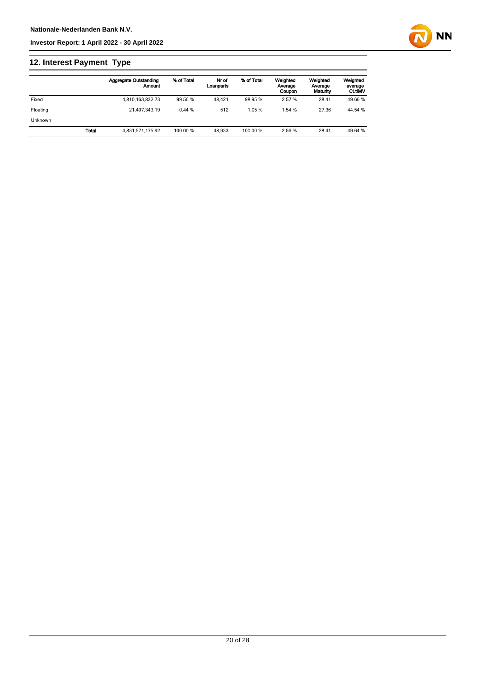### **12. Interest Payment Type**

|                |       | <b>Aggregate Outstanding</b><br>Amount | % of Total | Nr of<br>Loanparts | % of Total | Weighted<br>Average<br>Coupon | Weighted<br>Average<br>Maturity | Weighted<br>average<br><b>CLtIMV</b> |
|----------------|-------|----------------------------------------|------------|--------------------|------------|-------------------------------|---------------------------------|--------------------------------------|
| Fixed          |       | 4,810,163,832.73                       | 99.56 %    | 48.421             | 98.95 %    | 2.57 %                        | 28.41                           | 49.66 %                              |
| Floating       |       | 21.407.343.19                          | 0.44%      | 512                | 1.05%      | 1.54 %                        | 27.36                           | 44.54 %                              |
| <b>Unknown</b> |       |                                        |            |                    |            |                               |                                 |                                      |
|                | Total | 4,831,571,175.92                       | 100.00 %   | 48.933             | 100.00 %   | 2.56 %                        | 28.41                           | 49.64 %                              |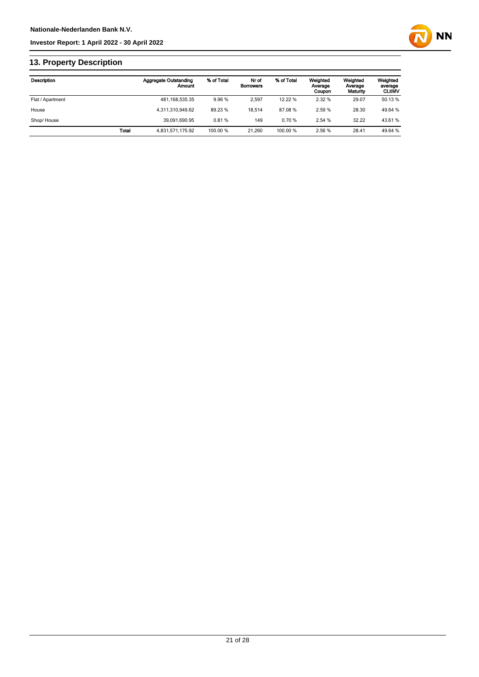

### **13. Property Description**

| Description      |       | <b>Aggregate Outstanding</b><br>Amount | % of Total | Nr of<br><b>Borrowers</b> | % of Total | Weighted<br>Average<br>Coupon | Weighted<br>Average<br>Maturity | Weighted<br>average<br><b>CLtIMV</b> |
|------------------|-------|----------------------------------------|------------|---------------------------|------------|-------------------------------|---------------------------------|--------------------------------------|
| Flat / Apartment |       | 481, 168, 535. 35                      | 9.96 %     | 2.597                     | 12.22 %    | 2.32 %                        | 29.07                           | 50.13 %                              |
| House            |       | 4.311.310.949.62                       | 89.23 %    | 18.514                    | 87.08%     | 2.59 %                        | 28.30                           | 49.64 %                              |
| Shop/House       |       | 39.091.690.95                          | 0.81%      | 149                       | 0.70%      | 2.54 %                        | 32.22                           | 43.61%                               |
|                  | Total | 4,831,571,175.92                       | 100.00 %   | 21.260                    | 100.00 %   | 2.56 %                        | 28.41                           | 49.64 %                              |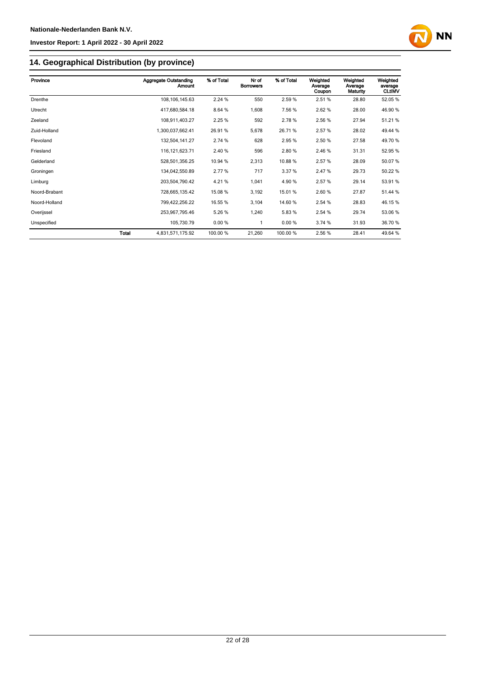

## **14. Geographical Distribution (by province)**

| Province      | <b>Aggregate Outstanding</b> | % of Total | Nr of            | % of Total | Weighted          | Weighted            | Weighted                 |
|---------------|------------------------------|------------|------------------|------------|-------------------|---------------------|--------------------------|
|               | Amount                       |            | <b>Borrowers</b> |            | Average<br>Coupon | Average<br>Maturity | average<br><b>CLtIMV</b> |
| Drenthe       | 108, 106, 145.63             | 2.24 %     | 550              | 2.59%      | 2.51%             | 28.80               | 52.05 %                  |
| Utrecht       | 417,680,584.18               | 8.64 %     | 1,608            | 7.56%      | 2.62%             | 28.00               | 46.90%                   |
| Zeeland       | 108,911,403.27               | 2.25 %     | 592              | 2.78%      | 2.56 %            | 27.94               | 51.21%                   |
| Zuid-Holland  | 1,300,037,662.41             | 26.91%     | 5,678            | 26.71%     | 2.57%             | 28.02               | 49.44 %                  |
| Flevoland     | 132,504,141.27               | 2.74 %     | 628              | 2.95 %     | 2.50 %            | 27.58               | 49.70 %                  |
| Friesland     | 116, 121, 623. 71            | 2.40 %     | 596              | 2.80%      | 2.46 %            | 31.31               | 52.95 %                  |
| Gelderland    | 528,501,356.25               | 10.94 %    | 2,313            | 10.88%     | 2.57%             | 28.09               | 50.07%                   |
| Groningen     | 134,042,550.89               | 2.77 %     | 717              | 3.37 %     | 2.47%             | 29.73               | 50.22 %                  |
| Limburg       | 203,504,790.42               | 4.21%      | 1,041            | 4.90%      | 2.57%             | 29.14               | 53.91 %                  |
| Noord-Brabant | 728,665,135.42               | 15.08 %    | 3,192            | 15.01%     | 2.60%             | 27.87               | 51.44 %                  |
| Noord-Holland | 799,422,256.22               | 16.55 %    | 3,104            | 14.60%     | 2.54 %            | 28.83               | 46.15%                   |
| Overijssel    | 253,967,795.46               | 5.26%      | 1,240            | 5.83%      | 2.54 %            | 29.74               | 53.06 %                  |
| Unspecified   | 105,730.79                   | 0.00%      | 1                | 0.00%      | 3.74 %            | 31.93               | 36.70 %                  |
|               | Total<br>4,831,571,175.92    | 100.00 %   | 21,260           | 100.00 %   | 2.56 %            | 28.41               | 49.64 %                  |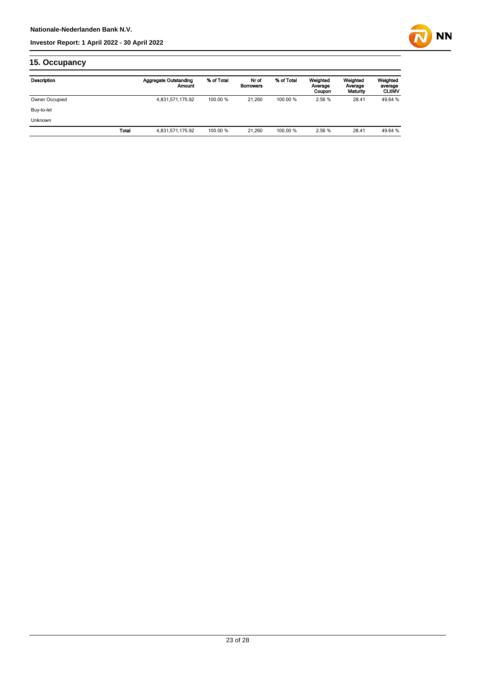

### **15. Occupancy**

| Description    |       | <b>Aggregate Outstanding</b><br>Amount | % of Total | Nr of<br><b>Borrowers</b> | % of Total | Weighted<br>Average<br>Coupon | Weighted<br>Average<br>Maturity | Weighted<br>average<br><b>CLtIMV</b> |
|----------------|-------|----------------------------------------|------------|---------------------------|------------|-------------------------------|---------------------------------|--------------------------------------|
| Owner Occupied |       | 4,831,571,175.92                       | 100.00 %   | 21.260                    | 100.00 %   | 2.56 %                        | 28.41                           | 49.64 %                              |
| Buy-to-let     |       |                                        |            |                           |            |                               |                                 |                                      |
| <b>Unknown</b> |       |                                        |            |                           |            |                               |                                 |                                      |
|                | Total | 4,831,571,175.92                       | 100.00 %   | 21.260                    | 100.00 %   | 2.56 %                        | 28.41                           | 49.64 %                              |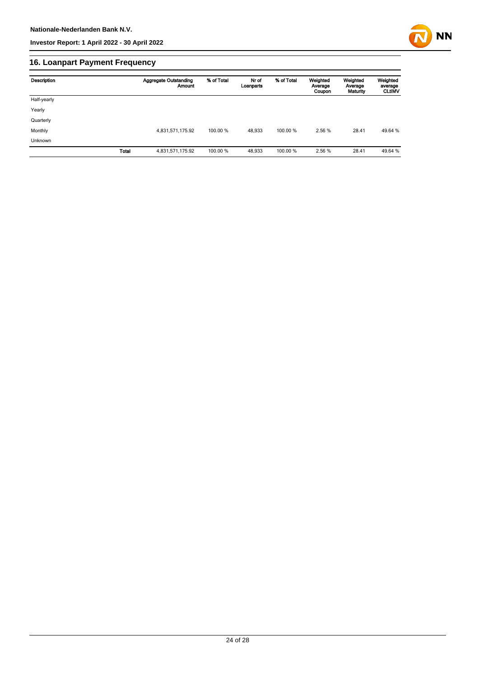

### **16. Loanpart Payment Frequency**

| Description | <b>Aggregate Outstanding</b><br>Amount | % of Total | Nr of<br>Loanparts | % of Total | Weighted<br>Average<br>Coupon | Weighted<br>Average<br>Maturity | Weighted<br>average<br><b>CLUMV</b> |
|-------------|----------------------------------------|------------|--------------------|------------|-------------------------------|---------------------------------|-------------------------------------|
| Half-yearly |                                        |            |                    |            |                               |                                 |                                     |
| Yearly      |                                        |            |                    |            |                               |                                 |                                     |
| Quarterly   |                                        |            |                    |            |                               |                                 |                                     |
| Monthly     | 4,831,571,175.92                       | 100.00 %   | 48,933             | 100.00 %   | 2.56 %                        | 28.41                           | 49.64 %                             |
| Unknown     |                                        |            |                    |            |                               |                                 |                                     |
|             | <b>Total</b><br>4,831,571,175.92       | 100.00 %   | 48,933             | 100.00%    | 2.56 %                        | 28.41                           | 49.64 %                             |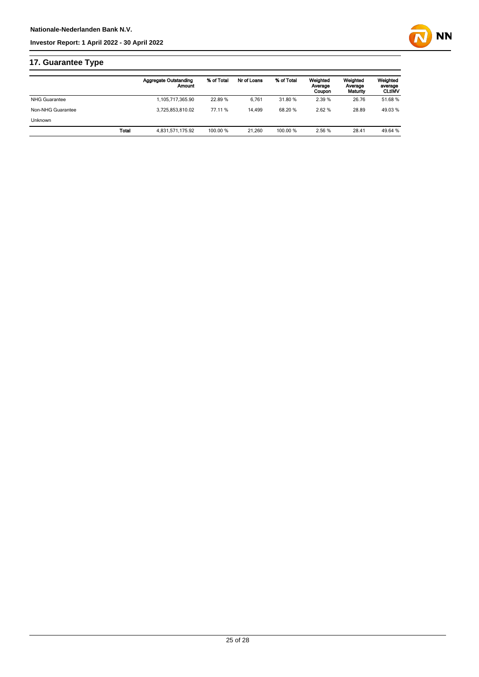

### **17. Guarantee Type**

|                      | <b>Aggregate Outstanding</b><br>Amount | % of Total | Nr of Loans | % of Total | Weighted<br>Average<br>Coupon | Weighted<br>Average<br>Maturity | Weighted<br>average<br><b>CLtIMV</b> |
|----------------------|----------------------------------------|------------|-------------|------------|-------------------------------|---------------------------------|--------------------------------------|
| <b>NHG Guarantee</b> | 1,105,717,365.90                       | 22.89 %    | 6.761       | 31.80 %    | 2.39 %                        | 26.76                           | 51.68%                               |
| Non-NHG Guarantee    | 3.725.853.810.02                       | 77.11 %    | 14.499      | 68.20%     | 2.62 %                        | 28.89                           | 49.03%                               |
| <b>Unknown</b>       |                                        |            |             |            |                               |                                 |                                      |
| Total                | 4.831.571.175.92                       | 100.00 %   | 21.260      | 100.00 %   | 2.56 %                        | 28.41                           | 49.64 %                              |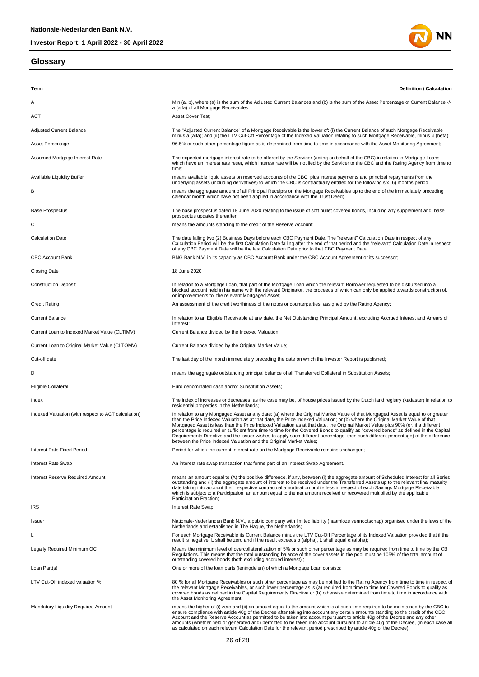#### **Glossary**



| Term                                                | Definition / Calculation                                                                                                                                                                                                                                                                                                                                                                                                                                                                                                                                                                                                                                                                                                                                    |
|-----------------------------------------------------|-------------------------------------------------------------------------------------------------------------------------------------------------------------------------------------------------------------------------------------------------------------------------------------------------------------------------------------------------------------------------------------------------------------------------------------------------------------------------------------------------------------------------------------------------------------------------------------------------------------------------------------------------------------------------------------------------------------------------------------------------------------|
| Α                                                   | Min (a, b), where (a) is the sum of the Adjusted Current Balances and (b) is the sum of the Asset Percentage of Current Balance -/-                                                                                                                                                                                                                                                                                                                                                                                                                                                                                                                                                                                                                         |
| <b>ACT</b>                                          | a (alfa) of all Mortgage Receivables;<br>Asset Cover Test;                                                                                                                                                                                                                                                                                                                                                                                                                                                                                                                                                                                                                                                                                                  |
| <b>Adjusted Current Balance</b>                     | The "Adjusted Current Balance" of a Mortgage Receivable is the lower of: (i) the Current Balance of such Mortgage Receivable                                                                                                                                                                                                                                                                                                                                                                                                                                                                                                                                                                                                                                |
| Asset Percentage                                    | minus a (alfa); and (ii) the LTV Cut-Off Percentage of the Indexed Valuation relating to such Mortgage Receivable, minus ß (bèta);<br>96.5% or such other percentage figure as is determined from time to time in accordance with the Asset Monitoring Agreement;                                                                                                                                                                                                                                                                                                                                                                                                                                                                                           |
|                                                     | The expected mortgage interest rate to be offered by the Servicer (acting on behalf of the CBC) in relation to Mortgage Loans                                                                                                                                                                                                                                                                                                                                                                                                                                                                                                                                                                                                                               |
| Assumed Mortgage Interest Rate                      | which have an interest rate reset, which interest rate will be notified by the Servicer to the CBC and the Rating Agency from time to<br>time;                                                                                                                                                                                                                                                                                                                                                                                                                                                                                                                                                                                                              |
| <b>Available Liquidity Buffer</b>                   | means available liquid assets on reserved accounts of the CBC, plus interest payments and principal repayments from the<br>underlying assets (including derivatives) to which the CBC is contractually entitled for the following six (6) months period                                                                                                                                                                                                                                                                                                                                                                                                                                                                                                     |
| в                                                   | means the aggregate amount of all Principal Receipts on the Mortgage Receivables up to the end of the immediately preceding<br>calendar month which have not been applied in accordance with the Trust Deed;                                                                                                                                                                                                                                                                                                                                                                                                                                                                                                                                                |
| <b>Base Prospectus</b>                              | The base prospectus dated 18 June 2020 relating to the issue of soft bullet covered bonds, including any supplement and base<br>prospectus updates thereafter;                                                                                                                                                                                                                                                                                                                                                                                                                                                                                                                                                                                              |
| С                                                   | means the amounts standing to the credit of the Reserve Account;                                                                                                                                                                                                                                                                                                                                                                                                                                                                                                                                                                                                                                                                                            |
| <b>Calculation Date</b>                             | The date falling two (2) Business Days before each CBC Payment Date. The "relevant" Calculation Date in respect of any<br>Calculation Period will be the first Calculation Date falling after the end of that period and the "relevant" Calculation Date in respect<br>of any CBC Payment Date will be the last Calculation Date prior to that CBC Payment Date;                                                                                                                                                                                                                                                                                                                                                                                            |
| <b>CBC Account Bank</b>                             | BNG Bank N.V. in its capacity as CBC Account Bank under the CBC Account Agreement or its successor;                                                                                                                                                                                                                                                                                                                                                                                                                                                                                                                                                                                                                                                         |
| <b>Closing Date</b>                                 | 18 June 2020                                                                                                                                                                                                                                                                                                                                                                                                                                                                                                                                                                                                                                                                                                                                                |
| <b>Construction Deposit</b>                         | In relation to a Mortgage Loan, that part of the Mortgage Loan which the relevant Borrower requested to be disbursed into a<br>blocked account held in his name with the relevant Originator, the proceeds of which can only be applied towards construction of,<br>or improvements to, the relevant Mortgaged Asset;                                                                                                                                                                                                                                                                                                                                                                                                                                       |
| <b>Credit Rating</b>                                | An assessment of the credit worthiness of the notes or counterparties, assigned by the Rating Agency;                                                                                                                                                                                                                                                                                                                                                                                                                                                                                                                                                                                                                                                       |
| <b>Current Balance</b>                              | In relation to an Eligible Receivable at any date, the Net Outstanding Principal Amount, excluding Accrued Interest and Arrears of<br>Interest;                                                                                                                                                                                                                                                                                                                                                                                                                                                                                                                                                                                                             |
| Current Loan to Indexed Market Value (CLTIMV)       | Current Balance divided by the Indexed Valuation;                                                                                                                                                                                                                                                                                                                                                                                                                                                                                                                                                                                                                                                                                                           |
| Current Loan to Original Market Value (CLTOMV)      | Current Balance divided by the Original Market Value;                                                                                                                                                                                                                                                                                                                                                                                                                                                                                                                                                                                                                                                                                                       |
| Cut-off date                                        | The last day of the month immediately preceding the date on which the Investor Report is published;                                                                                                                                                                                                                                                                                                                                                                                                                                                                                                                                                                                                                                                         |
| D                                                   | means the aggregate outstanding principal balance of all Transferred Collateral in Substitution Assets;                                                                                                                                                                                                                                                                                                                                                                                                                                                                                                                                                                                                                                                     |
| Eligible Collateral                                 | Euro denominated cash and/or Substitution Assets;                                                                                                                                                                                                                                                                                                                                                                                                                                                                                                                                                                                                                                                                                                           |
| Index                                               | The index of increases or decreases, as the case may be, of house prices issued by the Dutch land registry (kadaster) in relation to<br>residential properties in the Netherlands;                                                                                                                                                                                                                                                                                                                                                                                                                                                                                                                                                                          |
| Indexed Valuation (with respect to ACT calculation) | In relation to any Mortgaged Asset at any date: (a) where the Original Market Value of that Mortgaged Asset is equal to or greater<br>than the Price Indexed Valuation as at that date, the Price Indexed Valuation; or (b) where the Original Market Value of that<br>Mortgaged Asset is less than the Price Indexed Valuation as at that date, the Original Market Value plus 90% (or, if a different<br>percentage is required or sufficient from time to time for the Covered Bonds to qualify as "covered bonds" as defined in the Capital<br>Requirements Directive and the Issuer wishes to apply such different percentage, then such different percentage) of the difference<br>between the Price Indexed Valuation and the Original Market Value; |
| <b>Interest Rate Fixed Period</b>                   | Period for which the current interest rate on the Mortgage Receivable remains unchanged;                                                                                                                                                                                                                                                                                                                                                                                                                                                                                                                                                                                                                                                                    |
| <b>Interest Rate Swap</b>                           | An interest rate swap transaction that forms part of an Interest Swap Agreement.                                                                                                                                                                                                                                                                                                                                                                                                                                                                                                                                                                                                                                                                            |
| Interest Reserve Required Amount                    | means an amount equal to (A) the positive difference, if any, between (i) the aggregate amount of Scheduled Interest for all Series<br>outstanding and (ii) the aggregate amount of interest to be received under the Transferred Assets up to the relevant final maturity<br>date taking into account their respective contractual amortisation profile less in respect of each Savings Mortgage Receivable<br>which is subject to a Participation, an amount equal to the net amount received or recovered multiplied by the applicable<br>Participation Fraction;                                                                                                                                                                                        |
| <b>IRS</b>                                          | Interest Rate Swap;                                                                                                                                                                                                                                                                                                                                                                                                                                                                                                                                                                                                                                                                                                                                         |
| Issuer                                              | Nationale-Nederlanden Bank N.V., a public company with limited liability (naamloze vennootschap) organised under the laws of the<br>Netherlands and established in The Hague, the Netherlands;                                                                                                                                                                                                                                                                                                                                                                                                                                                                                                                                                              |
|                                                     | For each Mortgage Receivable its Current Balance minus the LTV Cut-Off Percentage of its Indexed Valuation provided that if the<br>result is negative, L shall be zero and if the result exceeds $\alpha$ (alpha), L shall equal $\alpha$ (alpha);                                                                                                                                                                                                                                                                                                                                                                                                                                                                                                          |
| Legally Required Minimum OC                         | Means the minimum level of overcollateralization of 5% or such other percentage as may be required from time to time by the CB<br>Regulations. This means that the total outstanding balance of the cover assets in the pool must be 105% of the total amount of<br>outstanding covered bonds (both excluding accrued interest);                                                                                                                                                                                                                                                                                                                                                                                                                            |
| Loan Part(s)                                        | One or more of the loan parts (leningdelen) of which a Mortgage Loan consists;                                                                                                                                                                                                                                                                                                                                                                                                                                                                                                                                                                                                                                                                              |
| LTV Cut-Off indexed valuation %                     | 80 % for all Mortgage Receivables or such other percentage as may be notified to the Rating Agency from time to time in respect of<br>the relevant Mortgage Receivables, or such lower percentage as is (a) required from time to time for Covered Bonds to qualify as<br>covered bonds as defined in the Capital Requirements Directive or (b) otherwise determined from time to time in accordance with<br>the Asset Monitoring Agreement;                                                                                                                                                                                                                                                                                                                |
| Mandatory Liquidity Required Amount                 | means the higher of (i) zero and (ii) an amount equal to the amount which is at such time required to be maintained by the CBC to<br>ensure compliance with article 40g of the Decree after taking into account any certain amounts standing to the credit of the CBC<br>Account and the Reserve Account as permitted to be taken into account pursuant to article 40g of the Decree and any other<br>amounts (whether held or generated and) permitted to be taken into account pursuant to article 40g of the Decree, (in each case all<br>as calculated on each relevant Calculation Date for the relevant period prescribed by article 40g of the Decree);                                                                                              |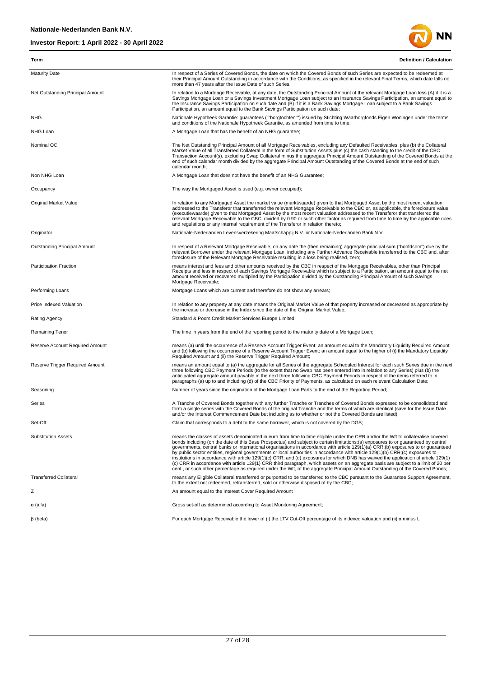

| Term                             | Definition / Calculation                                                                                                                                                                                                                                                                                                                                                                                                                                                                                                                                                                                                                                                                                                                                                                                                                                                                                                                                   |
|----------------------------------|------------------------------------------------------------------------------------------------------------------------------------------------------------------------------------------------------------------------------------------------------------------------------------------------------------------------------------------------------------------------------------------------------------------------------------------------------------------------------------------------------------------------------------------------------------------------------------------------------------------------------------------------------------------------------------------------------------------------------------------------------------------------------------------------------------------------------------------------------------------------------------------------------------------------------------------------------------|
| <b>Maturity Date</b>             | In respect of a Series of Covered Bonds, the date on which the Covered Bonds of such Series are expected to be redeemed at<br>their Principal Amount Outstanding in accordance with the Conditions, as specified in the relevant Final Terms, which date falls no<br>more than 47 years after the Issue Date of such Series.                                                                                                                                                                                                                                                                                                                                                                                                                                                                                                                                                                                                                               |
| Net Outstanding Principal Amount | In relation to a Mortgage Receivable, at any date, the Outstanding Principal Amount of the relevant Mortgage Loan less (A) if it is a<br>Savings Mortgage Loan or a Savings Investment Mortgage Loan subject to an Insurance Savings Participation, an amount equal to<br>the Insurance Savings Participation on such date and (B) if it is a Bank Savings Mortgage Loan subject to a Bank Savings<br>Participation, an amount equal to the Bank Savings Participation on such date;                                                                                                                                                                                                                                                                                                                                                                                                                                                                       |
| <b>NHG</b>                       | Nationale Hypotheek Garantie: guarantees (""borgtochten"") issued by Stichting Waarborgfonds Eigen Woningen under the terms<br>and conditions of the Nationale Hypotheek Garantie, as amended from time to time;                                                                                                                                                                                                                                                                                                                                                                                                                                                                                                                                                                                                                                                                                                                                           |
| NHG Loan                         | A Mortgage Loan that has the benefit of an NHG guarantee;                                                                                                                                                                                                                                                                                                                                                                                                                                                                                                                                                                                                                                                                                                                                                                                                                                                                                                  |
| Nominal OC                       | The Net Outstanding Principal Amount of all Mortgage Receivables, excluding any Defaulted Receivables, plus (b) the Collateral<br>Market Value of all Transferred Collateral in the form of Substitution Assets plus (c) the cash standing to the credit of the CBC<br>Transaction Account(s), excluding Swap Collateral minus the aggregate Principal Amount Outstanding of the Covered Bonds at the<br>end of such calendar month divided by the aggregate Principal Amount Outstanding of the Covered Bonds at the end of such<br>calendar month;                                                                                                                                                                                                                                                                                                                                                                                                       |
| Non NHG Loan                     | A Mortgage Loan that does not have the benefit of an NHG Guarantee;                                                                                                                                                                                                                                                                                                                                                                                                                                                                                                                                                                                                                                                                                                                                                                                                                                                                                        |
| Occupancy                        | The way the Mortgaged Asset is used (e.g. owner occupied);                                                                                                                                                                                                                                                                                                                                                                                                                                                                                                                                                                                                                                                                                                                                                                                                                                                                                                 |
| <b>Original Market Value</b>     | In relation to any Mortgaged Asset the market value (marktwaarde) given to that Mortgaged Asset by the most recent valuation<br>addressed to the Transferor that transferred the relevant Mortgage Receivable to the CBC or, as applicable, the foreclosure value<br>(executiewaarde) given to that Mortgaged Asset by the most recent valuation addressed to the Transferor that transferred the<br>relevant Mortgage Receivable to the CBC, divided by 0.90 or such other factor as required from time to time by the applicable rules<br>and requlations or any internal requirement of the Transferor in relation thereto;                                                                                                                                                                                                                                                                                                                             |
| Originator                       | Nationale-Nederlanden Levensverzekering Maatschappij N.V. or Nationale-Nederlanden Bank N.V.                                                                                                                                                                                                                                                                                                                                                                                                                                                                                                                                                                                                                                                                                                                                                                                                                                                               |
| Outstanding Principal Amount     | In respect of a Relevant Mortgage Receivable, on any date the (then remaining) aggregate principal sum ("hoofdsom") due by the<br>relevant Borrower under the relevant Mortgage Loan, including any Further Advance Receivable transferred to the CBC and, after<br>foreclosure of the Relevant Mortgage Receivable resulting in a loss being realised, zero;                                                                                                                                                                                                                                                                                                                                                                                                                                                                                                                                                                                              |
| Participation Fraction           | means interest and fees and other amounts received by the CBC in respect of the Mortgage Receivables, other than Principal<br>Receipts and less in respect of each Savings Mortgage Receivable which is subject to a Participation, an amount equal to the net<br>amount received or recovered multiplied by the Participation divided by the Outstanding Principal Amount of such Savings<br>Mortgage Receivable;                                                                                                                                                                                                                                                                                                                                                                                                                                                                                                                                         |
| Performing Loans                 | Mortgage Loans which are current and therefore do not show any arrears;                                                                                                                                                                                                                                                                                                                                                                                                                                                                                                                                                                                                                                                                                                                                                                                                                                                                                    |
| Price Indexed Valuation          | In relation to any property at any date means the Original Market Value of that property increased or decreased as appropriate by<br>the increase or decrease in the Index since the date of the Original Market Value;                                                                                                                                                                                                                                                                                                                                                                                                                                                                                                                                                                                                                                                                                                                                    |
| <b>Rating Agency</b>             | Standard & Poors Credit Market Services Europe Limited;                                                                                                                                                                                                                                                                                                                                                                                                                                                                                                                                                                                                                                                                                                                                                                                                                                                                                                    |
| Remaining Tenor                  | The time in years from the end of the reporting period to the maturity date of a Mortgage Loan;                                                                                                                                                                                                                                                                                                                                                                                                                                                                                                                                                                                                                                                                                                                                                                                                                                                            |
| Reserve Account Required Amount  | means (a) until the occurrence of a Reserve Account Trigger Event: an amount equal to the Mandatory Liquidity Required Amount<br>and (b) following the occurrence of a Reserve Account Trigger Event: an amount equal to the higher of (i) the Mandatory Liquidity<br>Required Amount and (ii) the Reserve Trigger Required Amount;                                                                                                                                                                                                                                                                                                                                                                                                                                                                                                                                                                                                                        |
| Reserve Trigger Required Amount  | means an amount equal to (a) the aggregate for all Series of the aggregate Scheduled Interest for each such Series due in the next<br>three following CBC Payment Periods (to the extent that no Swap has been entered into in relation to any Series) plus (b) the<br>anticipated aggregate amount payable in the next three following CBC Payment Periods in respect of the items referred to in<br>paragraphs (a) up to and including (d) of the CBC Priority of Payments, as calculated on each relevant Calculation Date;                                                                                                                                                                                                                                                                                                                                                                                                                             |
| Seasoning                        | Number of years since the origination of the Mortgage Loan Parts to the end of the Reporting Period;                                                                                                                                                                                                                                                                                                                                                                                                                                                                                                                                                                                                                                                                                                                                                                                                                                                       |
| Series                           | A Tranche of Covered Bonds together with any further Tranche or Tranches of Covered Bonds expressed to be consolidated and<br>form a single series with the Covered Bonds of the original Tranche and the terms of which are identical (save for the Issue Date<br>and/or the Interest Commencement Date but including as to whether or not the Covered Bonds are listed);                                                                                                                                                                                                                                                                                                                                                                                                                                                                                                                                                                                 |
| Set-Off                          | Claim that corresponds to a debt to the same borrower, which is not covered by the DGS;                                                                                                                                                                                                                                                                                                                                                                                                                                                                                                                                                                                                                                                                                                                                                                                                                                                                    |
| <b>Substitution Assets</b>       | means the classes of assets denominated in euro from time to time eligible under the CRR and/or the Wft to collateralise covered<br>bonds including (on the date of this Base Prospectus) and subject to certain limitations:(a) exposures to or guaranteed by central<br>governments, central banks or international organisations in accordance with article 129(1)(a) CRR;(b) exposures to or quaranteed<br>by public sector entities, regional governments or local authorities in accordance with article 129(1)(b) CRR;(c) exposures to<br>institutions in accordance with article 129(1)(c) CRR; and (d) exposures for which DNB has waived the application of article 129(1)<br>(c) CRR in accordance with article 129(1) CRR third paragraph, which assets on an aggregate basis are subject to a limit of 20 per<br>cent or such other percentage as required under the Wft. of the aggregate Principal Amount Outstanding of the Covered Bonds: |
| <b>Transferred Collateral</b>    | means any Eligible Collateral transferred or purported to be transferred to the CBC pursuant to the Guarantee Support Agreement,<br>to the extent not redeemed, retransferred, sold or otherwise disposed of by the CBC;                                                                                                                                                                                                                                                                                                                                                                                                                                                                                                                                                                                                                                                                                                                                   |
| Ζ                                | An amount equal to the Interest Cover Required Amount                                                                                                                                                                                                                                                                                                                                                                                                                                                                                                                                                                                                                                                                                                                                                                                                                                                                                                      |
| $\alpha$ (alfa)                  | Gross set-off as determined according to Asset Monitoring Agreement;                                                                                                                                                                                                                                                                                                                                                                                                                                                                                                                                                                                                                                                                                                                                                                                                                                                                                       |
| $\beta$ (beta)                   | For each Mortgage Receivable the lower of (i) the LTV Cut-Off percentage of its indexed valuation and (ii) a minus L                                                                                                                                                                                                                                                                                                                                                                                                                                                                                                                                                                                                                                                                                                                                                                                                                                       |